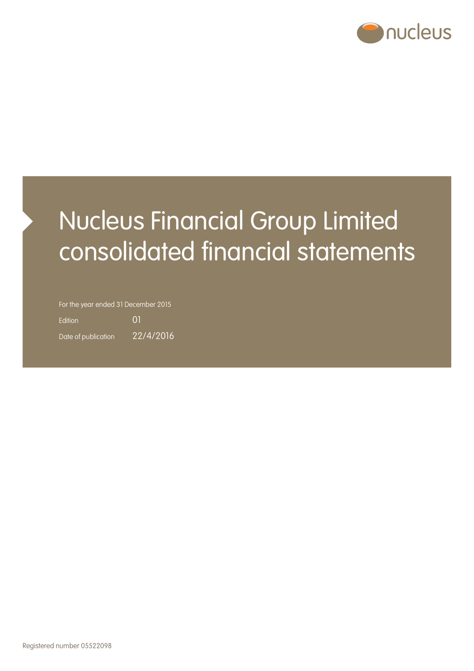

# Nucleus Financial Group Limited consolidated financial statements

For the year ended 31 December 2015

Edition 01 Date of publication 22/4/2016

Registered number 05522098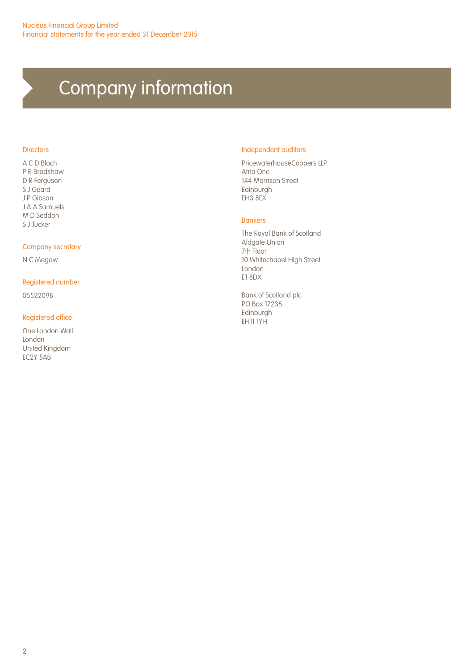# Company information

#### **Directors**

A C D Bloch P R Bradshaw D R Ferguson S J Geard J P Gibson J A A Samuels M D Seddon S J Tucker

#### Company secretary

N C Megaw

#### Registered number

05522098

#### Registered office

One London Wall London United Kingdom EC2Y 5AB

#### Independent auditors

PricewaterhouseCoopers LLP Atria One 144 Morrison Street Edinburgh EH3 8EX

#### Bankers

The Royal Bank of Scotland Aldgate Union 7th Floor 10 Whitechapel High Street London E1 8DX

Bank of Scotland plc PO Box 17235 Edinburgh EH11 1YH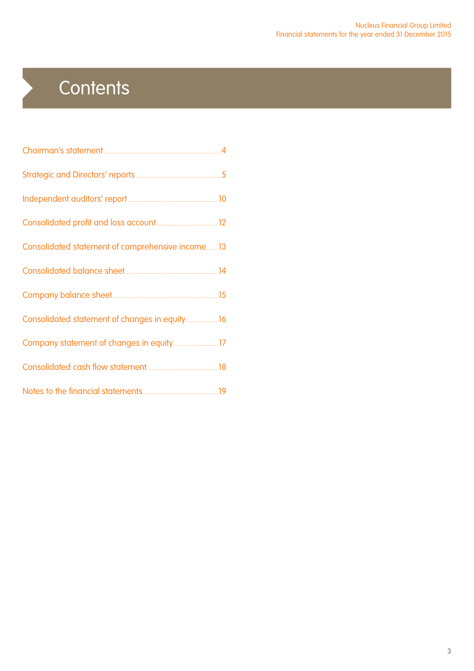# **Contents**

 $\blacktriangleright$ 

| Consolidated statement of comprehensive income13 |  |
|--------------------------------------------------|--|
|                                                  |  |
|                                                  |  |
| Consolidated statement of changes in equity16    |  |
|                                                  |  |
|                                                  |  |
|                                                  |  |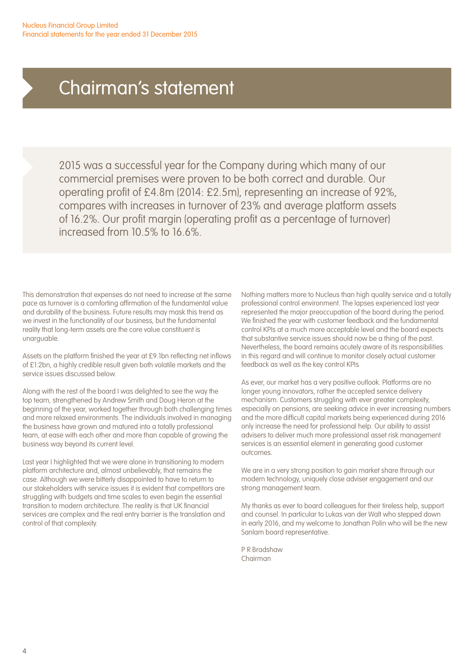## Chairman's statement

2015 was a successful year for the Company during which many of our commercial premises were proven to be both correct and durable. Our operating profit of £4.8m (2014: £2.5m), representing an increase of 92%, compares with increases in turnover of 23% and average platform assets of 16.2%. Our profit margin (operating profit as a percentage of turnover) increased from 10.5% to 16.6%.

This demonstration that expenses do not need to increase at the same pace as turnover is a comforting affirmation of the fundamental value and durability of the business. Future results may mask this trend as we invest in the functionality of our business, but the fundamental reality that long-term assets are the core value constituent is unarguable.

Assets on the platform finished the year at £9.1bn reflecting net inflows of £1.2bn, a highly credible result given both volatile markets and the service issues discussed below.

Along with the rest of the board I was delighted to see the way the top team, strengthened by Andrew Smith and Doug Heron at the beginning of the year, worked together through both challenging times and more relaxed environments. The individuals involved in managing the business have grown and matured into a totally professional team, at ease with each other and more than capable of growing the business way beyond its current level.

Last year I highlighted that we were alone in transitioning to modern platform architecture and, almost unbelievably, that remains the case. Although we were bitterly disappointed to have to return to our stakeholders with service issues it is evident that competitors are struggling with budgets and time scales to even begin the essential transition to modern architecture. The reality is that UK financial services are complex and the real entry barrier is the translation and control of that complexity.

Nothing matters more to Nucleus than high quality service and a totally professional control environment. The lapses experienced last year represented the major preoccupation of the board during the period. We finished the year with customer feedback and the fundamental control KPIs at a much more acceptable level and the board expects that substantive service issues should now be a thing of the past. Nevertheless, the board remains acutely aware of its responsibilities in this regard and will continue to monitor closely actual customer feedback as well as the key control KPIs

As ever, our market has a very positive outlook. Platforms are no longer young innovators, rather the accepted service delivery mechanism. Customers struggling with ever greater complexity, especially on pensions, are seeking advice in ever increasing numbers and the more difficult capital markets being experienced during 2016 only increase the need for professional help. Our ability to assist advisers to deliver much more professional asset risk management services is an essential element in generating good customer outcomes.

We are in a very strong position to gain market share through our modern technology, uniquely close adviser engagement and our strong management team.

My thanks as ever to board colleagues for their tireless help, support and counsel. In particular to Lukas van der Walt who stepped down in early 2016, and my welcome to Jonathan Polin who will be the new Sanlam board representative.

P R Bradshaw Chairman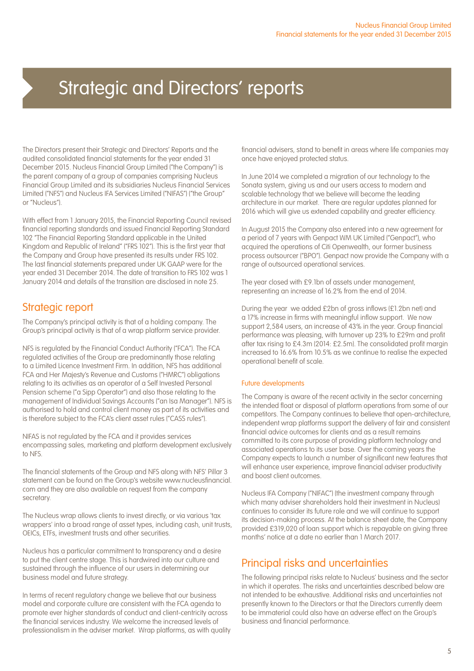The Directors present their Strategic and Directors' Reports and the audited consolidated financial statements for the year ended 31 December 2015. Nucleus Financial Group Limited ("the Company") is the parent company of a group of companies comprising Nucleus Financial Group Limited and its subsidiaries Nucleus Financial Services Limited ("NFS") and Nucleus IFA Services Limited ("NIFAS") ("the Group" or "Nucleus").

With effect from 1 January 2015, the Financial Reporting Council revised financial reporting standards and issued Financial Reporting Standard 102 "The Financial Reporting Standard applicable in the United Kingdom and Republic of Ireland" ("FRS 102"). This is the first year that the Company and Group have presented its results under FRS 102. The last financial statements prepared under UK GAAP were for the year ended 31 December 2014. The date of transition to FRS 102 was 1 January 2014 and details of the transition are disclosed in note 25.

### Strategic report

The Company's principal activity is that of a holding company. The Group's principal activity is that of a wrap platform service provider.

NFS is regulated by the Financial Conduct Authority ("FCA"). The FCA regulated activities of the Group are predominantly those relating to a Limited Licence Investment Firm. In addition, NFS has additional FCA and Her Majesty's Revenue and Customs ("HMRC") obligations relating to its activities as an operator of a Self Invested Personal Pension scheme ("a Sipp Operator") and also those relating to the management of Individual Savings Accounts ("an Isa Manager"). NFS is authorised to hold and control client money as part of its activities and is therefore subject to the FCA's client asset rules ("CASS rules").

NIFAS is not regulated by the FCA and it provides services encompassing sales, marketing and platform development exclusively to NFS.

The financial statements of the Group and NFS along with NFS' Pillar 3 statement can be found on the Group's website www.nucleusfinancial. com and they are also available on request from the company secretary.

The Nucleus wrap allows clients to invest directly, or via various 'tax wrappers' into a broad range of asset types, including cash, unit trusts, OEICs, ETFs, investment trusts and other securities.

Nucleus has a particular commitment to transparency and a desire to put the client centre stage. This is hardwired into our culture and sustained through the influence of our users in determining our business model and future strategy.

In terms of recent regulatory change we believe that our business model and corporate culture are consistent with the FCA agenda to promote ever higher standards of conduct and client-centricity across the financial services industry. We welcome the increased levels of professionalism in the adviser market. Wrap platforms, as with quality financial advisers, stand to benefit in areas where life companies may once have enjoyed protected status.

In June 2014 we completed a migration of our technology to the Sonata system, giving us and our users access to modern and scalable technology that we believe will become the leading architecture in our market. There are regular updates planned for 2016 which will give us extended capability and greater efficiency.

In August 2015 the Company also entered into a new agreement for a period of 7 years with Genpact WM UK Limited ("Genpact"), who acquired the operations of Citi Openwealth, our former business process outsourcer ("BPO"). Genpact now provide the Company with a range of outsourced operational services.

The year closed with £9.1bn of assets under management. representing an increase of 16.2% from the end of 2014.

During the year we added £2bn of gross inflows (£1.2bn net) and a 17% increase in firms with meaningful inflow support. We now support 2,584 users, an increase of 43% in the year. Group financial performance was pleasing, with turnover up 23% to £29m and profit after tax rising to £4.3m (2014: £2.5m). The consolidated profit margin increased to 16.6% from 10.5% as we continue to realise the expected operational benefit of scale.

#### Future developments

The Company is aware of the recent activity in the sector concerning the intended float or disposal of platform operations from some of our competitors. The Company continues to believe that open-architecture, independent wrap platforms support the delivery of fair and consistent financial advice outcomes for clients and as a result remains committed to its core purpose of providing platform technology and associated operations to its user base. Over the coming years the Company expects to launch a number of significant new features that will enhance user experience, improve financial adviser productivity and boost client outcomes.

Nucleus IFA Company ("NIFAC") (the investment company through which many adviser shareholders hold their investment in Nucleus) continues to consider its future role and we will continue to support its decision-making process. At the balance sheet date, the Company provided £319,020 of loan support which is repayable on giving three months' notice at a date no earlier than 1 March 2017.

### Principal risks and uncertainties

The following principal risks relate to Nucleus' business and the sector in which it operates. The risks and uncertainties described below are not intended to be exhaustive. Additional risks and uncertainties not presently known to the Directors or that the Directors currently deem to be immaterial could also have an adverse effect on the Group's business and financial performance.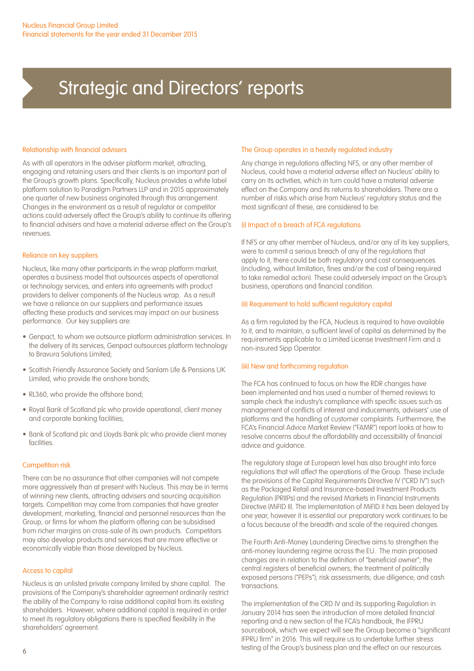#### Relationship with financial advisers

As with all operators in the adviser platform market, attracting, engaging and retaining users and their clients is an important part of the Group's growth plans. Specifically, Nucleus provides a white label platform solution to Paradigm Partners LLP and in 2015 approximately one quarter of new business originated through this arrangement. Changes in the environment as a result of regulator or competitor actions could adversely affect the Group's ability to continue its offering to financial advisers and have a material adverse effect on the Group's revenues.

#### Reliance on key suppliers

Nucleus, like many other participants in the wrap platform market, operates a business model that outsources aspects of operational or technology services, and enters into agreements with product providers to deliver components of the Nucleus wrap. As a result we have a reliance on our suppliers and performance issues affecting these products and services may impact on our business performance. Our key suppliers are:

- Genpact, to whom we outsource platform administration services. In the delivery of its services, Genpact outsources platform technology to Bravura Solutions Limited;
- Scottish Friendly Assurance Society and Sanlam Life & Pensions UK Limited, who provide the onshore bonds;
- RL360, who provide the offshore bond;
- Royal Bank of Scotland plc who provide operational, client money and corporate banking facilities;
- Bank of Scotland plc and Lloyds Bank plc who provide client money facilities

#### Competition risk

There can be no assurance that other companies will not compete more aggressively than at present with Nucleus. This may be in terms of winning new clients, attracting advisers and sourcing acquisition targets. Competition may come from companies that have greater development, marketing, financial and personnel resources than the Group, or firms for whom the platform offering can be subsidised from richer margins on cross-sale of its own products. Competitors may also develop products and services that are more effective or economically viable than those developed by Nucleus.

#### Access to capital

Nucleus is an unlisted private company limited by share capital. The provisions of the Company's shareholder agreement ordinarily restrict the ability of the Company to raise additional capital from its existing shareholders. However, where additional capital is required in order to meet its regulatory obligations there is specified flexibility in the shareholders' agreement.

#### The Group operates in a heavily regulated industry

Any change in regulations affecting NFS, or any other member of Nucleus, could have a material adverse effect on Nucleus' ability to carry on its activities, which in turn could have a material adverse effect on the Company and its returns to shareholders. There are a number of risks which arise from Nucleus' regulatory status and the most significant of these, are considered to be:

#### (i) Impact of a breach of FCA regulations

If NFS or any other member of Nucleus, and/or any of its key suppliers, were to commit a serious breach of any of the regulations that apply to it, there could be both regulatory and cost consequences (including, without limitation, fines and/or the cost of being required to take remedial action). These could adversely impact on the Group's business, operations and financial condition.

#### (ii) Requirement to hold sufficient regulatory capital

As a firm regulated by the FCA, Nucleus is required to have available to it, and to maintain, a sufficient level of capital as determined by the requirements applicable to a Limited License Investment Firm and a non-insured Sipp Operator.

#### (iii) New and forthcoming regulation

The FCA has continued to focus on how the RDR changes have been implemented and has used a number of themed reviews to sample check the industry's compliance with specific issues such as management of conflicts of interest and inducements, advisers' use of platforms and the handling of customer complaints. Furthermore, the FCA's Financial Advice Market Review ("FAMR") report looks at how to resolve concerns about the affordability and accessibility of financial advice and guidance.

The regulatory stage at European level has also brought into force regulations that will affect the operations of the Group. These include the provisions of the Capital Requirements Directive IV ("CRD IV") such as the Packaged Retail and Insurance-based Investment Products Regulation (PRIIPs) and the revised Markets in Financial Instruments Directive (MiFID II). The implementation of MiFID II has been delayed by one year, however it is essential our preparatory work continues to be a focus because of the breadth and scale of the required changes.

The Fourth Anti-Money Laundering Directive aims to strengthen the anti-money laundering regime across the EU. The main proposed changes are in relation to the definition of "beneficial owner"; the central registers of beneficial owners; the treatment of politically exposed persons ("PEPs"); risk assessments; due diligence; and cash transactions.

The implementation of the CRD IV and its supporting Regulation in January 2014 has seen the introduction of more detailed financial reporting and a new section of the FCA's handbook, the IFPRU sourcebook, which we expect will see the Group become a "significant IFPRU firm" in 2016. This will require us to undertake further stress testing of the Group's business plan and the effect on our resources.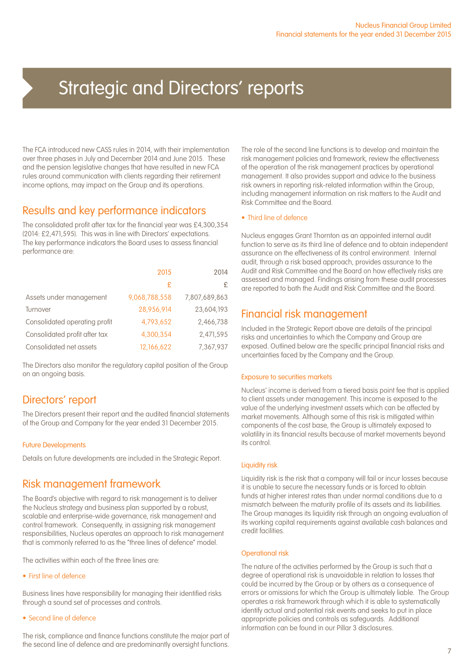The FCA introduced new CASS rules in 2014, with their implementation over three phases in July and December 2014 and June 2015. These and the pension legislative changes that have resulted in new FCA rules around communication with clients regarding their retirement income options, may impact on the Group and its operations.

### Results and key performance indicators

The consolidated profit after tax for the financial year was £4,300,354 (2014: £2,471,595). This was in line with Directors' expectations. The key performance indicators the Board uses to assess financial performance are:

|                               | 2015          | 2014          |
|-------------------------------|---------------|---------------|
|                               | £             | £             |
| Assets under management       | 9,068,788,558 | 7,807,689,863 |
| Turnover                      | 28,956,914    | 23,604,193    |
| Consolidated operating profit | 4.793.652     | 2,466,738     |
| Consolidated profit after tax | 4,300,354     | 2,471,595     |
| Consolidated net assets       | 12,166,622    | 7,367,937     |

The Directors also monitor the regulatory capital position of the Group on an ongoing basis.

### Directors' report

The Directors present their report and the audited financial statements of the Group and Company for the year ended 31 December 2015.

#### Future Developments

Details on future developments are included in the Strategic Report.

### Risk management framework

The Board's objective with regard to risk management is to deliver the Nucleus strategy and business plan supported by a robust, scalable and enterprise-wide governance, risk management and control framework. Consequently, in assigning risk management responsibilities, Nucleus operates an approach to risk management that is commonly referred to as the "three lines of defence" model.

The activities within each of the three lines are:

• First line of defence

Business lines have responsibility for managing their identified risks through a sound set of processes and controls.

#### • Second line of defence

The risk, compliance and finance functions constitute the major part of the second line of defence and are predominantly oversight functions.

The role of the second line functions is to develop and maintain the risk management policies and framework, review the effectiveness of the operation of the risk management practices by operational management. It also provides support and advice to the business risk owners in reporting risk-related information within the Group, including management information on risk matters to the Audit and Risk Committee and the Board.

#### • Third line of defence

Nucleus engages Grant Thornton as an appointed internal audit function to serve as its third line of defence and to obtain independent assurance on the effectiveness of its control environment. Internal audit, through a risk based approach, provides assurance to the Audit and Risk Committee and the Board on how effectively risks are assessed and managed. Findings arising from these audit processes are reported to both the Audit and Risk Committee and the Board.

### Financial risk management

Included in the Strategic Report above are details of the principal risks and uncertainties to which the Company and Group are exposed. Outlined below are the specific principal financial risks and uncertainties faced by the Company and the Group.

#### Exposure to securities markets

Nucleus' income is derived from a tiered basis point fee that is applied to client assets under management. This income is exposed to the value of the underlying investment assets which can be affected by market movements. Although some of this risk is mitigated within components of the cost base, the Group is ultimately exposed to volatility in its financial results because of market movements beyond its control.

#### Liquidity risk

Liquidity risk is the risk that a company will fail or incur losses because it is unable to secure the necessary funds or is forced to obtain funds at higher interest rates than under normal conditions due to a mismatch between the maturity profile of its assets and its liabilities. The Group manages its liquidity risk through an ongoing evaluation of its working capital requirements against available cash balances and credit facilities.

#### Operational risk

The nature of the activities performed by the Group is such that a degree of operational risk is unavoidable in relation to losses that could be incurred by the Group or by others as a consequence of errors or omissions for which the Group is ultimately liable. The Group operates a risk framework through which it is able to systematically identify actual and potential risk events and seeks to put in place appropriate policies and controls as safeguards. Additional information can be found in our Pillar 3 disclosures.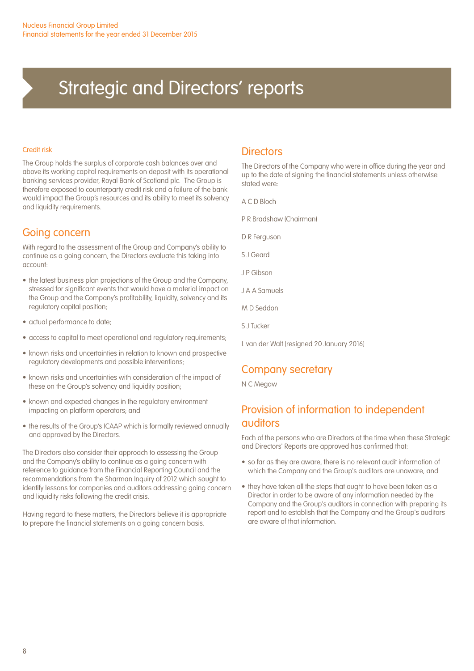#### Credit risk

The Group holds the surplus of corporate cash balances over and above its working capital requirements on deposit with its operational banking services provider, Royal Bank of Scotland plc. The Group is therefore exposed to counterparty credit risk and a failure of the bank would impact the Group's resources and its ability to meet its solvency and liquidity requirements.

### Going concern

With regard to the assessment of the Group and Company's ability to continue as a going concern, the Directors evaluate this taking into account:

- the latest business plan projections of the Group and the Company, stressed for significant events that would have a material impact on the Group and the Company's profitability, liquidity, solvency and its regulatory capital position;
- actual performance to date;
- access to capital to meet operational and regulatory requirements;
- known risks and uncertainties in relation to known and prospective regulatory developments and possible interventions;
- known risks and uncertainties with consideration of the impact of these on the Group's solvency and liquidity position;
- known and expected changes in the regulatory environment impacting on platform operators; and
- the results of the Group's ICAAP which is formally reviewed annually and approved by the Directors.

The Directors also consider their approach to assessing the Group and the Company's ability to continue as a going concern with reference to guidance from the Financial Reporting Council and the recommendations from the Sharman Inquiry of 2012 which sought to identify lessons for companies and auditors addressing going concern and liquidity risks following the credit crisis.

Having regard to these matters, the Directors believe it is appropriate to prepare the financial statements on a going concern basis.

### **Directors**

The Directors of the Company who were in office during the year and up to the date of signing the financial statements unless otherwise stated were:

A C D Bloch

- P R Bradshaw (Chairman)
- D R Ferguson
- S J Geard
- J P Gibson
- J A A Samuels
- M D Seddon
- S J Tucker
- L van der Walt (resigned 20 January 2016)

### Company secretary

N C Megaw

### Provision of information to independent auditors

Each of the persons who are Directors at the time when these Strategic and Directors' Reports are approved has confirmed that:

- so far as they are aware, there is no relevant audit information of which the Company and the Group's auditors are unaware, and
- they have taken all the steps that ought to have been taken as a Director in order to be aware of any information needed by the Company and the Group's auditors in connection with preparing its report and to establish that the Company and the Group's auditors are aware of that information.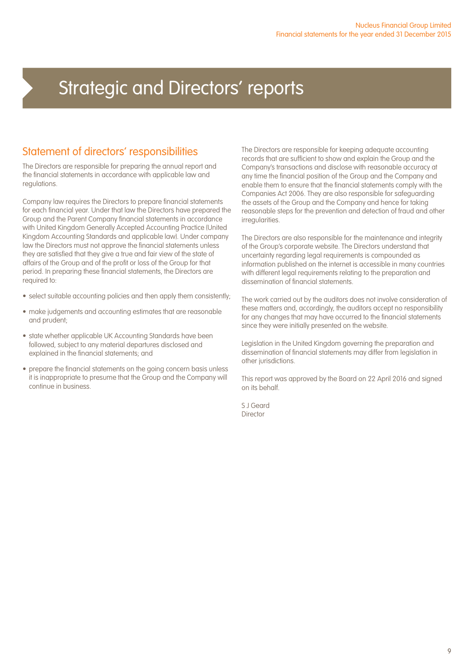### Statement of directors' responsibilities

The Directors are responsible for preparing the annual report and the financial statements in accordance with applicable law and regulations.

Company law requires the Directors to prepare financial statements for each financial year. Under that law the Directors have prepared the Group and the Parent Company financial statements in accordance with United Kingdom Generally Accepted Accounting Practice (United Kingdom Accounting Standards and applicable law). Under company law the Directors must not approve the financial statements unless they are satisfied that they give a true and fair view of the state of affairs of the Group and of the profit or loss of the Group for that period. In preparing these financial statements, the Directors are required to:

- select suitable accounting policies and then apply them consistently;
- make judgements and accounting estimates that are reasonable and prudent;
- state whether applicable UK Accounting Standards have been followed, subject to any material departures disclosed and explained in the financial statements; and
- prepare the financial statements on the going concern basis unless it is inappropriate to presume that the Group and the Company will continue in business.

The Directors are responsible for keeping adequate accounting records that are sufficient to show and explain the Group and the Company's transactions and disclose with reasonable accuracy at any time the financial position of the Group and the Company and enable them to ensure that the financial statements comply with the Companies Act 2006. They are also responsible for safeguarding the assets of the Group and the Company and hence for taking reasonable steps for the prevention and detection of fraud and other irregularities.

The Directors are also responsible for the maintenance and integrity of the Group's corporate website. The Directors understand that uncertainty regarding legal requirements is compounded as information published on the internet is accessible in many countries with different legal requirements relating to the preparation and dissemination of financial statements.

The work carried out by the auditors does not involve consideration of these matters and, accordingly, the auditors accept no responsibility for any changes that may have occurred to the financial statements since they were initially presented on the website.

Legislation in the United Kingdom governing the preparation and dissemination of financial statements may differ from legislation in other jurisdictions.

This report was approved by the Board on 22 April 2016 and signed on its behalf.

S J Geard Director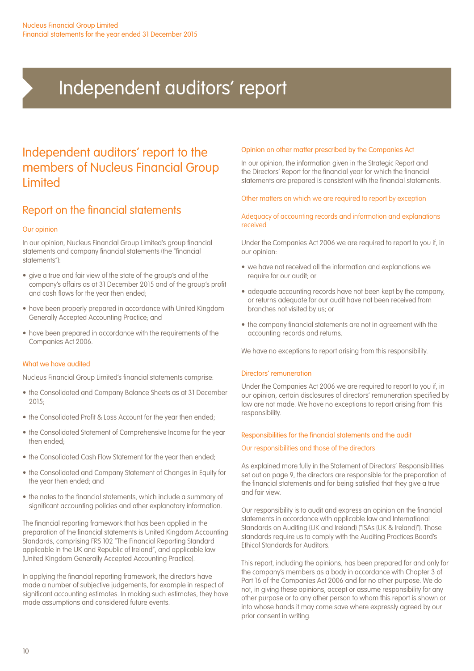# Independent auditors' report

## Independent auditors' report to the members of Nucleus Financial Group **Limited**

### Report on the financial statements

#### Our opinion

In our opinion, Nucleus Financial Group Limited's group financial statements and company financial statements (the "financial statements"):

- give a true and fair view of the state of the group's and of the company's affairs as at 31 December 2015 and of the group's profit and cash flows for the year then ended;
- have been properly prepared in accordance with United Kingdom Generally Accepted Accounting Practice; and
- have been prepared in accordance with the requirements of the Companies Act 2006.

#### What we have audited

Nucleus Financial Group Limited's financial statements comprise:

- the Consolidated and Company Balance Sheets as at 31 December  $2015.$
- the Consolidated Profit & Loss Account for the year then ended:
- the Consolidated Statement of Comprehensive Income for the year then ended;
- the Consolidated Cash Flow Statement for the year then ended;
- the Consolidated and Company Statement of Changes in Equity for the year then ended; and
- the notes to the financial statements, which include a summary of significant accounting policies and other explanatory information.

The financial reporting framework that has been applied in the preparation of the financial statements is United Kingdom Accounting Standards, comprising FRS 102 "The Financial Reporting Standard applicable in the UK and Republic of Ireland", and applicable law (United Kingdom Generally Accepted Accounting Practice).

In applying the financial reporting framework, the directors have made a number of subjective judgements, for example in respect of significant accounting estimates. In making such estimates, they have made assumptions and considered future events.

#### Opinion on other matter prescribed by the Companies Act

In our opinion, the information given in the Strategic Report and the Directors' Report for the financial year for which the financial statements are prepared is consistent with the financial statements.

#### Other matters on which we are required to report by exception

#### Adequacy of accounting records and information and explanations received

Under the Companies Act 2006 we are required to report to you if, in our opinion:

- we have not received all the information and explanations we require for our audit; or
- adequate accounting records have not been kept by the company, or returns adequate for our audit have not been received from branches not visited by us; or
- the company financial statements are not in agreement with the accounting records and returns.

We have no exceptions to report arising from this responsibility.

#### Directors' remuneration

Under the Companies Act 2006 we are required to report to you if, in our opinion, certain disclosures of directors' remuneration specified by law are not made. We have no exceptions to report arising from this responsibility.

#### Responsibilities for the financial statements and the audit

#### Our responsibilities and those of the directors

As explained more fully in the Statement of Directors' Responsibilities set out on page 9, the directors are responsible for the preparation of the financial statements and for being satisfied that they give a true and fair view.

Our responsibility is to audit and express an opinion on the financial statements in accordance with applicable law and International Standards on Auditing (UK and Ireland) ("ISAs (UK & Ireland)"). Those standards require us to comply with the Auditing Practices Board's Ethical Standards for Auditors.

This report, including the opinions, has been prepared for and only for the company's members as a body in accordance with Chapter 3 of Part 16 of the Companies Act 2006 and for no other purpose. We do not, in giving these opinions, accept or assume responsibility for any other purpose or to any other person to whom this report is shown or into whose hands it may come save where expressly agreed by our prior consent in writing.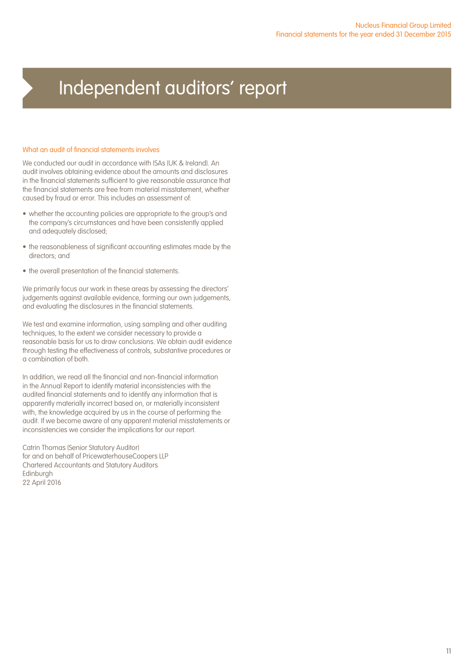# Independent auditors' report

#### What an audit of financial statements involves

We conducted our audit in accordance with ISAs (UK & Ireland). An audit involves obtaining evidence about the amounts and disclosures in the financial statements sufficient to give reasonable assurance that the financial statements are free from material misstatement, whether caused by fraud or error. This includes an assessment of:

- whether the accounting policies are appropriate to the group's and the company's circumstances and have been consistently applied and adequately disclosed;
- the reasonableness of significant accounting estimates made by the directors; and
- the overall presentation of the financial statements.

We primarily focus our work in these areas by assessing the directors' judgements against available evidence, forming our own judgements, and evaluating the disclosures in the financial statements.

We test and examine information, using sampling and other auditing techniques, to the extent we consider necessary to provide a reasonable basis for us to draw conclusions. We obtain audit evidence through testing the effectiveness of controls, substantive procedures or a combination of both.

In addition, we read all the financial and non-financial information in the Annual Report to identify material inconsistencies with the audited financial statements and to identify any information that is apparently materially incorrect based on, or materially inconsistent with, the knowledge acquired by us in the course of performing the audit. If we become aware of any apparent material misstatements or inconsistencies we consider the implications for our report.

Catrin Thomas (Senior Statutory Auditor) for and on behalf of PricewaterhouseCoopers LLP Chartered Accountants and Statutory Auditors Edinburgh 22 April 2016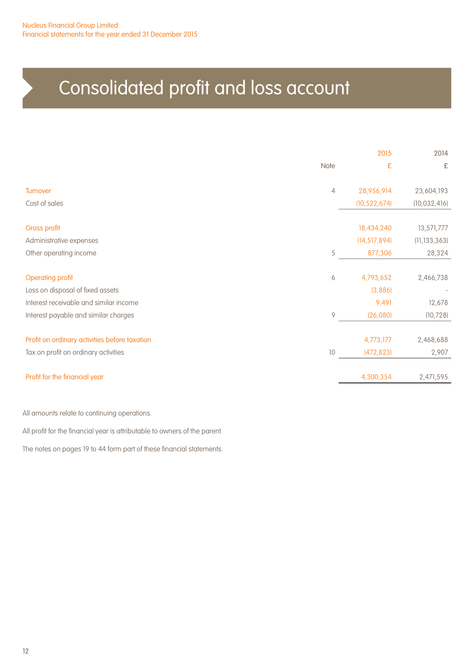# Consolidated profit and loss account

|                                               | 2015 |                | 2014           |
|-----------------------------------------------|------|----------------|----------------|
|                                               | Note | £              | £              |
| <b>Turnover</b>                               | 4    | 28,956,914     | 23,604,193     |
| Cost of sales                                 |      | (10, 522, 674) | (10, 032, 416) |
| <b>Gross profit</b>                           |      | 18,434,240     | 13,571,777     |
| Administrative expenses                       |      | (14, 517, 894) | (11, 133, 363) |
| Other operating income                        | 5    | 877,306        | 28,324         |
| <b>Operating profit</b>                       | 6    | 4,793,652      | 2,466,738      |
| Loss on disposal of fixed assets              |      | (3,886)        |                |
| Interest receivable and similar income        |      | 9,491          | 12,678         |
| Interest payable and similar charges          | 9    | (26,080)       | (10, 728)      |
| Profit on ordinary activities before taxation |      | 4,773,177      | 2,468,688      |
| Tax on profit on ordinary activities          | 10   | (472, 823)     | 2,907          |
| Profit for the financial year                 |      | 4,300,354      | 2,471,595      |
|                                               |      |                |                |

All amounts relate to continuing operations.

All profit for the financial year is attributable to owners of the parent.

The notes on pages 19 to 44 form part of these financial statements.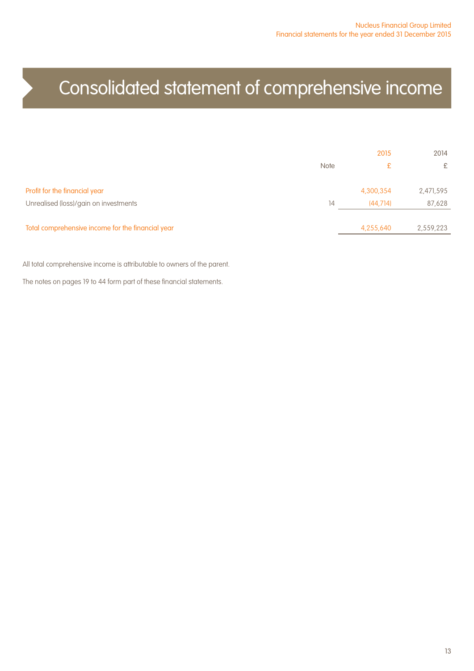# Consolidated statement of comprehensive income

|                                                   |             | 2015      | 2014      |
|---------------------------------------------------|-------------|-----------|-----------|
|                                                   | <b>Note</b> | £         | £         |
| Profit for the financial year                     |             | 4,300,354 | 2,471,595 |
| Unrealised (loss)/gain on investments             | 14          | (44.714)  | 87,628    |
| Total comprehensive income for the financial year |             | 4,255,640 | 2,559,223 |

All total comprehensive income is attributable to owners of the parent.

The notes on pages 19 to 44 form part of these financial statements.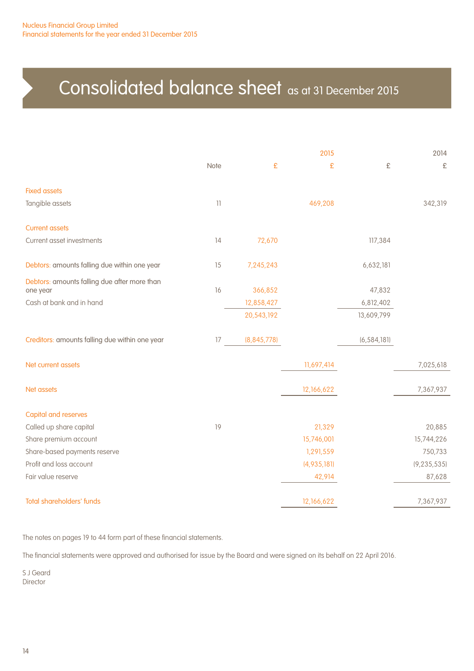# Consolidated balance sheet as at 31 December 2015

|                                                          |                 |               | 2015        |               | 2014          |
|----------------------------------------------------------|-----------------|---------------|-------------|---------------|---------------|
|                                                          | Note            | £             | £           | £             | £             |
| <b>Fixed assets</b>                                      |                 |               |             |               |               |
| Tangible assets                                          | $\overline{11}$ |               | 469,208     |               | 342,319       |
| <b>Current assets</b>                                    |                 |               |             |               |               |
| Current asset investments                                | 14              | 72,670        |             | 117,384       |               |
| Debtors: amounts falling due within one year             | 15              | 7,245,243     |             | 6,632,181     |               |
| Debtors: amounts falling due after more than<br>one year | 16              | 366,852       |             | 47,832        |               |
| Cash at bank and in hand                                 |                 | 12,858,427    |             | 6,812,402     |               |
|                                                          |                 | 20,543,192    |             | 13,609,799    |               |
| Creditors: amounts falling due within one year           | 17              | (8, 845, 778) |             | (6, 584, 181) |               |
| Net current assets                                       |                 |               | 11,697,414  |               | 7,025,618     |
| Net assets                                               |                 |               | 12,166,622  |               | 7,367,937     |
| <b>Capital and reserves</b>                              |                 |               |             |               |               |
| Called up share capital                                  | 19              |               | 21,329      |               | 20,885        |
| Share premium account                                    |                 |               | 15,746,001  |               | 15,744,226    |
| Share-based payments reserve                             |                 |               | 1,291,559   |               | 750,733       |
| Profit and loss account                                  |                 |               | (4,935,181) |               | (9, 235, 535) |
| Fair value reserve                                       |                 |               | 42,914      |               | 87,628        |
| <b>Total shareholders' funds</b>                         |                 |               | 12,166,622  |               | 7,367,937     |

The notes on pages 19 to 44 form part of these financial statements.

The financial statements were approved and authorised for issue by the Board and were signed on its behalf on 22 April 2016.

S J Geard Director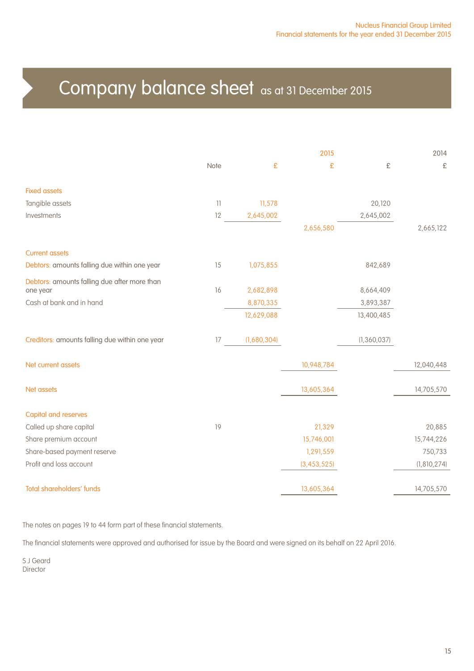## Company balance sheet as at 31 December 2015

|                                                          |                 |             | 2015          |               | 2014        |
|----------------------------------------------------------|-----------------|-------------|---------------|---------------|-------------|
|                                                          | Note            | £           | £             | £             | £           |
| <b>Fixed assets</b>                                      |                 |             |               |               |             |
| Tangible assets                                          | $\overline{11}$ | 11,578      |               | 20,120        |             |
| Investments                                              | 12              | 2,645,002   |               | 2,645,002     |             |
|                                                          |                 |             | 2,656,580     |               | 2,665,122   |
| <b>Current assets</b>                                    |                 |             |               |               |             |
| Debtors: amounts falling due within one year             | 15              | 1,075,855   |               | 842,689       |             |
| Debtors: amounts falling due after more than<br>one year | 16              | 2,682,898   |               | 8,664,409     |             |
| Cash at bank and in hand                                 |                 | 8,870,335   |               | 3,893,387     |             |
|                                                          |                 | 12,629,088  |               | 13,400,485    |             |
| Creditors: amounts falling due within one year           | 17              | (1,680,304) |               | (1, 360, 037) |             |
| Net current assets                                       |                 |             | 10,948,784    |               | 12,040,448  |
| Net assets                                               |                 |             | 13,605,364    |               | 14,705,570  |
| <b>Capital and reserves</b>                              |                 |             |               |               |             |
| Called up share capital                                  | 19              |             | 21,329        |               | 20,885      |
| Share premium account                                    |                 |             | 15,746,001    |               | 15,744,226  |
| Share-based payment reserve                              |                 |             | 1,291,559     |               | 750,733     |
| Profit and loss account                                  |                 |             | (3, 453, 525) |               | (1,810,274) |
| <b>Total shareholders' funds</b>                         |                 |             | 13,605,364    |               | 14,705,570  |

The notes on pages 19 to 44 form part of these financial statements.

The financial statements were approved and authorised for issue by the Board and were signed on its behalf on 22 April 2016.

S J Geard Director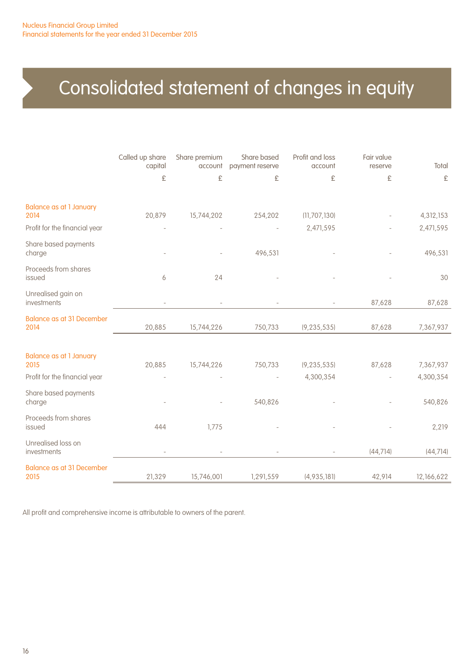# Consolidated statement of changes in equity

|                                          | Called up share<br>capital<br>£ | Share premium<br>account<br>£ | Share based<br>payment reserve<br>£ | Profit and loss<br>account<br>£ | Fair value<br>reserve<br>£ | Total<br>£ |
|------------------------------------------|---------------------------------|-------------------------------|-------------------------------------|---------------------------------|----------------------------|------------|
| <b>Balance as at 1 January</b><br>2014   | 20,879                          | 15,744,202                    | 254,202                             | (11, 707, 130)                  |                            | 4,312,153  |
| Profit for the financial year            |                                 |                               |                                     | 2,471,595                       |                            | 2,471,595  |
| Share based payments<br>charge           |                                 |                               | 496,531                             |                                 |                            | 496,531    |
| Proceeds from shares<br>issued           | 6                               | 24                            |                                     |                                 |                            | 30         |
| Unrealised gain on<br>investments        |                                 |                               |                                     |                                 | 87,628                     | 87,628     |
| <b>Balance as at 31 December</b><br>2014 | 20,885                          | 15,744,226                    | 750,733                             | (9, 235, 535)                   | 87,628                     | 7,367,937  |
| <b>Balance as at 1 January</b><br>2015   | 20,885                          | 15,744,226                    | 750,733                             | (9, 235, 535)                   | 87,628                     | 7,367,937  |
| Profit for the financial year            |                                 |                               |                                     | 4,300,354                       |                            | 4,300,354  |
| Share based payments<br>charge           |                                 |                               | 540,826                             |                                 |                            | 540,826    |
| Proceeds from shares<br>issued           | 444                             | 1,775                         |                                     |                                 |                            | 2,219      |
| Unrealised loss on<br>investments        |                                 |                               |                                     |                                 | (44, 714)                  | (44, 714)  |
| <b>Balance as at 31 December</b><br>2015 | 21,329                          | 15,746,001                    | 1,291,559                           | (4,935,181)                     | 42,914                     | 12,166,622 |

All profit and comprehensive income is attributable to owners of the parent.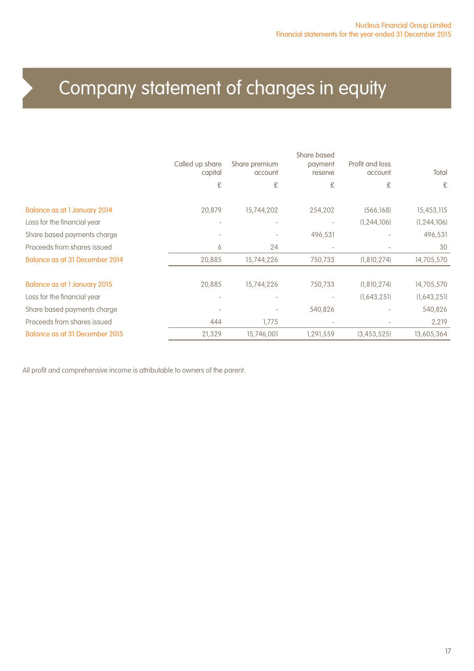# Company statement of changes in equity

|                                | Called up share<br>capital | Share premium<br>account | Share based<br>payment<br>reserve | Profit and loss<br>account | Total         |
|--------------------------------|----------------------------|--------------------------|-----------------------------------|----------------------------|---------------|
|                                | £                          | £                        | £                                 | £                          | £             |
| Balance as at 1 January 2014   | 20,879                     | 15,744,202               | 254,202                           | (566, 168)                 | 15,453,115    |
| Loss for the financial year    |                            | $\overline{\phantom{a}}$ | ٠                                 | (1, 244, 106)              | (1, 244, 106) |
| Share based payments charge    |                            |                          | 496,531                           |                            | 496,531       |
| Proceeds from shares issued    | 6                          | 24                       | $\overline{\phantom{a}}$          |                            | 30            |
| Balance as at 31 December 2014 | 20,885                     | 15,744,226               | 750,733                           | (1,810,274)                | 14,705,570    |
| Balance as at 1 January 2015   | 20,885                     | 15,744,226               | 750,733                           | (1, 810, 274)              | 14,705,570    |
| Loss for the financial year    |                            | $\overline{\phantom{a}}$ |                                   | (1,643,251)                | (1,643,251)   |
| Share based payments charge    |                            |                          | 540,826                           |                            | 540,826       |
| Proceeds from shares issued    | 444                        | 1,775                    |                                   |                            | 2,219         |
| Balance as at 31 December 2015 | 21,329                     | 15,746,001               | 1,291,559                         | (3,453,525)                | 13,605,364    |

All profit and comprehensive income is attributable to owners of the parent.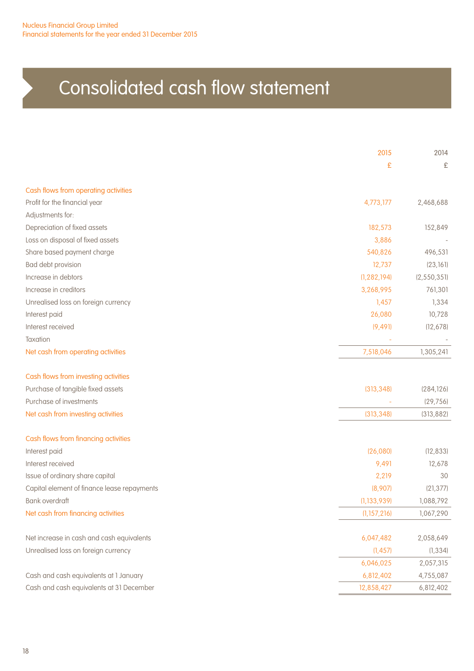# Consolidated cash flow statement

|                                             | 2015          | 2014        |
|---------------------------------------------|---------------|-------------|
|                                             | £             | £           |
| Cash flows from operating activities        |               |             |
| Profit for the financial year               | 4,773,177     | 2,468,688   |
| Adjustments for:                            |               |             |
| Depreciation of fixed assets                | 182,573       | 152,849     |
| Loss on disposal of fixed assets            | 3,886         |             |
| Share based payment charge                  | 540,826       | 496,531     |
| Bad debt provision                          | 12,737        | (23, 161)   |
| Increase in debtors                         | (1, 282, 194) | (2,550,351) |
| Increase in creditors                       | 3,268,995     | 761,301     |
| Unrealised loss on foreign currency         | 1,457         | 1,334       |
| Interest paid                               | 26,080        | 10,728      |
| Interest received                           | (9, 49]       | (12, 678)   |
| Taxation                                    |               |             |
| Net cash from operating activities          | 7,518,046     | 1,305,241   |
| Cash flows from investing activities        |               |             |
| Purchase of tangible fixed assets           | (313, 348)    | (284, 126)  |
| Purchase of investments                     |               | (29, 756)   |
| Net cash from investing activities          | (313, 348)    | (313, 882)  |
| Cash flows from financing activities        |               |             |
| Interest paid                               | (26,080)      | (12, 833)   |
| Interest received                           | 9,491         | 12,678      |
| Issue of ordinary share capital             | 2,219         | 30          |
| Capital element of finance lease repayments | (8,907)       | (21, 377)   |
| Bank overdraft                              | (1, 133, 939) | 1,088,792   |
| Net cash from financing activities          | (1, 157, 216) | 1,067,290   |
| Net increase in cash and cash equivalents   | 6,047,482     | 2,058,649   |
| Unrealised loss on foreign currency         | (1, 457)      | (1, 334)    |
|                                             | 6,046,025     | 2,057,315   |
| Cash and cash equivalents at 1 January      | 6,812,402     | 4,755,087   |
| Cash and cash equivalents at 31 December    | 12,858,427    | 6,812,402   |
|                                             |               |             |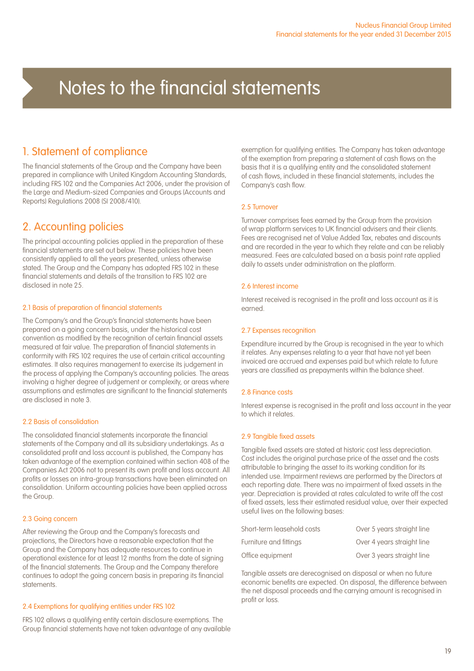### 1. Statement of compliance

The financial statements of the Group and the Company have been prepared in compliance with United Kingdom Accounting Standards, including FRS 102 and the Companies Act 2006, under the provision of the Large and Medium-sized Companies and Groups (Accounts and Reports) Regulations 2008 (SI 2008/410).

### 2. Accounting policies

The principal accounting policies applied in the preparation of these financial statements are set out below. These policies have been consistently applied to all the years presented, unless otherwise stated. The Group and the Company has adopted FRS 102 in these financial statements and details of the transition to FRS 102 are disclosed in note 25.

#### 2.1 Basis of preparation of financial statements

The Company's and the Group's financial statements have been prepared on a going concern basis, under the historical cost convention as modified by the recognition of certain financial assets measured at fair value. The preparation of financial statements in conformity with FRS 102 requires the use of certain critical accounting estimates. It also requires management to exercise its judgement in the process of applying the Company's accounting policies. The areas involving a higher degree of judgement or complexity, or areas where assumptions and estimates are significant to the financial statements are disclosed in note 3.

#### 2.2 Basis of consolidation

The consolidated financial statements incorporate the financial statements of the Company and all its subsidiary undertakings. As a consolidated profit and loss account is published, the Company has taken advantage of the exemption contained within section 408 of the Companies Act 2006 not to present its own profit and loss account. All profits or losses on intra-group transactions have been eliminated on consolidation. Uniform accounting policies have been applied across the Group.

#### 2.3 Going concern

After reviewing the Group and the Company's forecasts and projections, the Directors have a reasonable expectation that the Group and the Company has adequate resources to continue in operational existence for at least 12 months from the date of signing of the financial statements. The Group and the Company therefore continues to adopt the going concern basis in preparing its financial statements.

#### 2.4 Exemptions for qualifying entities under FRS 102

FRS 102 allows a qualifying entity certain disclosure exemptions. The Group financial statements have not taken advantage of any available

exemption for qualifying entities. The Company has taken advantage of the exemption from preparing a statement of cash flows on the basis that it is a qualifying entity and the consolidated statement of cash flows, included in these financial statements, includes the Company's cash flow.

#### 2.5 Turnover

Turnover comprises fees earned by the Group from the provision of wrap platform services to UK financial advisers and their clients. Fees are recognised net of Value Added Tax, rebates and discounts and are recorded in the year to which they relate and can be reliably measured. Fees are calculated based on a basis point rate applied daily to assets under administration on the platform.

#### 2.6 Interest income

Interest received is recognised in the profit and loss account as it is earned.

#### 2.7 Expenses recognition

Expenditure incurred by the Group is recognised in the year to which it relates. Any expenses relating to a year that have not yet been invoiced are accrued and expenses paid but which relate to future years are classified as prepayments within the balance sheet.

#### 2.8 Finance costs

Interest expense is recognised in the profit and loss account in the year to which it relates.

#### 2.9 Tangible fixed assets

Tangible fixed assets are stated at historic cost less depreciation. Cost includes the original purchase price of the asset and the costs attributable to bringing the asset to its working condition for its intended use. Impairment reviews are performed by the Directors at each reporting date. There was no impairment of fixed assets in the year. Depreciation is provided at rates calculated to write off the cost of fixed assets, less their estimated residual value, over their expected useful lives on the following bases:

| Short-term leasehold costs | Over 5 years straight line |
|----------------------------|----------------------------|
| Furniture and fittings     | Over 4 years straight line |
| Office equipment           | Over 3 years straight line |

Tangible assets are derecognised on disposal or when no future economic benefits are expected. On disposal, the difference between the net disposal proceeds and the carrying amount is recognised in profit or loss.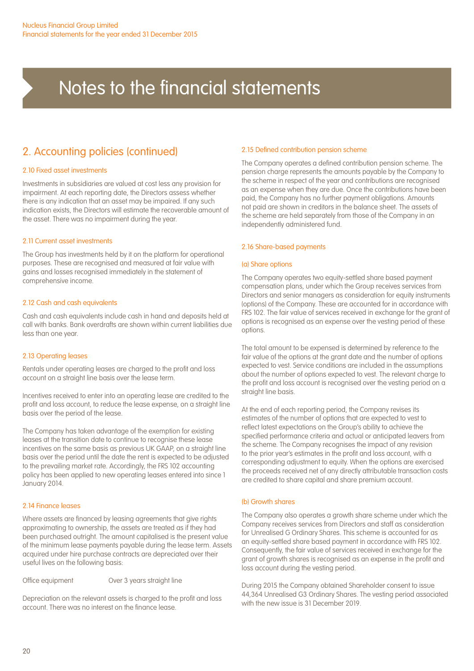### 2. Accounting policies (continued)

#### 2.10 Fixed asset investments

Investments in subsidiaries are valued at cost less any provision for impairment. At each reporting date, the Directors assess whether there is any indication that an asset may be impaired. If any such indication exists, the Directors will estimate the recoverable amount of the asset. There was no impairment during the year.

#### 2.11 Current asset investments

The Group has investments held by it on the platform for operational purposes. These are recognised and measured at fair value with gains and losses recognised immediately in the statement of comprehensive income.

#### 2.12 Cash and cash equivalents

Cash and cash equivalents include cash in hand and deposits held at call with banks. Bank overdrafts are shown within current liabilities due less than one year.

#### 2.13 Operating leases

Rentals under operating leases are charged to the profit and loss account on a straight line basis over the lease term.

Incentives received to enter into an operating lease are credited to the profit and loss account, to reduce the lease expense, on a straight line basis over the period of the lease.

The Company has taken advantage of the exemption for existing leases at the transition date to continue to recognise these lease incentives on the same basis as previous UK GAAP, on a straight line basis over the period until the date the rent is expected to be adjusted to the prevailing market rate. Accordingly, the FRS 102 accounting policy has been applied to new operating leases entered into since 1 January 2014.

#### 2.14 Finance leases

Where assets are financed by leasing agreements that give rights approximating to ownership, the assets are treated as if they had been purchased outright. The amount capitalised is the present value of the minimum lease payments payable during the lease term. Assets acquired under hire purchase contracts are depreciated over their useful lives on the following basis:

Office equipment Over 3 years straight line

Depreciation on the relevant assets is charged to the profit and loss account. There was no interest on the finance lease.

#### 2.15 Defined contribution pension scheme

The Company operates a defined contribution pension scheme. The pension charge represents the amounts payable by the Company to the scheme in respect of the year and contributions are recognised as an expense when they are due. Once the contributions have been paid, the Company has no further payment obligations. Amounts not paid are shown in creditors in the balance sheet. The assets of the scheme are held separately from those of the Company in an independently administered fund.

#### 2.16 Share-based payments

#### (a) Share options

The Company operates two equity-settled share based payment compensation plans, under which the Group receives services from Directors and senior managers as consideration for equity instruments (options) of the Company. These are accounted for in accordance with FRS 102. The fair value of services received in exchange for the grant of options is recognised as an expense over the vesting period of these options.

The total amount to be expensed is determined by reference to the fair value of the options at the grant date and the number of options expected to vest. Service conditions are included in the assumptions about the number of options expected to vest. The relevant charge to the profit and loss account is recognised over the vesting period on a straight line basis.

At the end of each reporting period, the Company revises its estimates of the number of options that are expected to vest to reflect latest expectations on the Group's ability to achieve the specified performance criteria and actual or anticipated leavers from the scheme. The Company recognises the impact of any revision to the prior year's estimates in the profit and loss account, with a corresponding adjustment to equity. When the options are exercised the proceeds received net of any directly attributable transaction costs are credited to share capital and share premium account.

#### (b) Growth shares

The Company also operates a growth share scheme under which the Company receives services from Directors and staff as consideration for Unrealised G Ordinary Shares. This scheme is accounted for as an equity-settled share based payment in accordance with FRS 102. Consequently, the fair value of services received in exchange for the grant of growth shares is recognised as an expense in the profit and loss account during the vesting period.

During 2015 the Company obtained Shareholder consent to issue 44,364 Unrealised G3 Ordinary Shares. The vesting period associated with the new issue is 31 December 2019.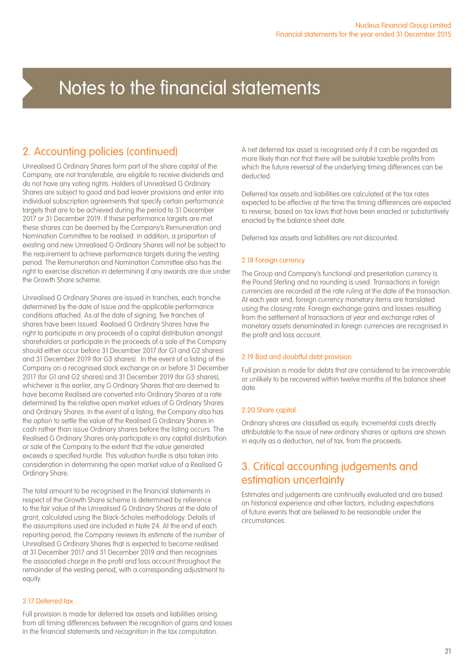## 2. Accounting policies (continued)

Unrealised G Ordinary Shares form part of the share capital of the Company, are not transferable, are eligible to receive dividends and do not have any voting rights. Holders of Unrealised G Ordinary Shares are subject to good and bad leaver provisions and enter into individual subscription agreements that specify certain performance targets that are to be achieved during the period to 31 December 2017 or 31 December 2019. If these performance targets are met these shares can be deemed by the Company's Remuneration and Nomination Committee to be realised. In addition, a proportion of existing and new Unrealised G Ordinary Shares will not be subject to the requirement to achieve performance targets during the vesting period. The Remuneration and Nomination Committee also has the right to exercise discretion in determining if any awards are due under the Growth Share scheme.

Unrealised G Ordinary Shares are issued in tranches, each tranche determined by the date of issue and the applicable performance conditions attached. As at the date of signing, five tranches of shares have been issued. Realised G Ordinary Shares have the right to participate in any proceeds of a capital distribution amongst shareholders or participate in the proceeds of a sale of the Company should either occur before 31 December 2017 (for G1 and G2 shares) and 31 December 2019 (for G3 shares). In the event of a listing of the Company on a recognised stock exchange on or before 31 December 2017 (for G1 and G2 shares) and 31 December 2019 (for G3 shares), whichever is the earlier, any G Ordinary Shares that are deemed to have become Realised are converted into Ordinary Shares at a rate determined by the relative open market values of G Ordinary Shares and Ordinary Shares. In the event of a listing, the Company also has the option to settle the value of the Realised G Ordinary Shares in cash rather than issue Ordinary shares before the listing occurs. The Realised G Ordinary Shares only participate in any capital distribution or sale of the Company to the extent that the value generated exceeds a specified hurdle. This valuation hurdle is also taken into consideration in determining the open market value of a Realised G Ordinary Share.

The total amount to be recognised in the financial statements in respect of the Growth Share scheme is determined by reference to the fair value of the Unrealised G Ordinary Shares at the date of grant, calculated using the Black-Scholes methodology. Details of the assumptions used are included in Note 24. At the end of each reporting period, the Company reviews its estimate of the number of Unrealised G Ordinary Shares that is expected to become realised at 31 December 2017 and 31 December 2019 and then recognises the associated charge in the profit and loss account throughout the remainder of the vesting period, with a corresponding adjustment to equity.

#### 2.17 Deferred tax

Full provision is made for deferred tax assets and liabilities arising from all timing differences between the recognition of gains and losses in the financial statements and recognition in the tax computation.

A net deferred tax asset is recognised only if it can be regarded as more likely than not that there will be suitable taxable profits from which the future reversal of the underlying timing differences can be deducted.

Deferred tax assets and liabilities are calculated at the tax rates expected to be effective at the time the timing differences are expected to reverse, based on tax laws that have been enacted or substantively enacted by the balance sheet date.

Deferred tax assets and liabilities are not discounted.

#### 2.18 Foreign currency

The Group and Company's functional and presentation currency is the Pound Sterling and no rounding is used. Transactions in foreign currencies are recorded at the rate ruling at the date of the transaction. At each year end, foreign currency monetary items are translated using the closing rate. Foreign exchange gains and losses resulting from the settlement of transactions at year end exchange rates of monetary assets denominated in foreign currencies are recognised in the profit and loss account.

#### 2.19 Bad and doubtful debt provision

Full provision is made for debts that are considered to be irrecoverable or unlikely to be recovered within twelve months of the balance sheet date.

#### 2.20 Share capital

Ordinary shares are classified as equity. Incremental costs directly attributable to the issue of new ordinary shares or options are shown in equity as a deduction, net of tax, from the proceeds.

### 3. Critical accounting judgements and estimation uncertainty

Estimates and judgements are continually evaluated and are based on historical experience and other factors, including expectations of future events that are believed to be reasonable under the circumstances.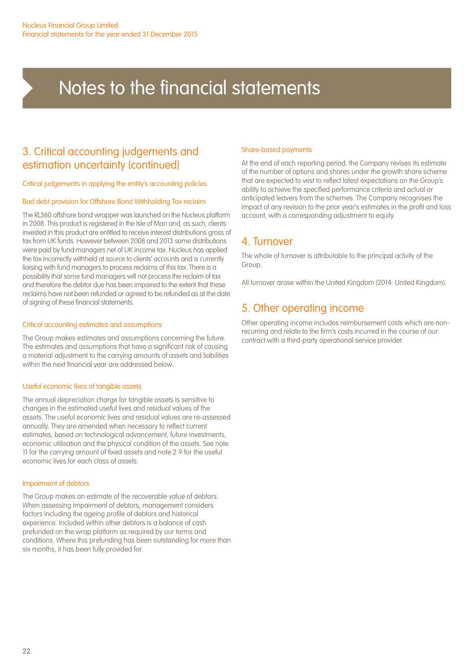### 3. Critical accounting judgements and estimation uncertainty (continued)

Critical judgements in applying the entity's accounting policies

#### Bad debt provision for Offshore Bond Withholding Tax reclaim

The RL360 offshore bond wrapper was launched on the Nucleus platform in 2008. This product is registered in the Isle of Man and, as such, clients invested in this product are entitled to receive interest distributions gross of tax from UK funds. However between 2008 and 2013 some distributions were paid by fund managers net of UK income tax. Nucleus has applied the tax incorrectly withheld at source to clients' accounts and is currently liaising with fund managers to process reclaims of this tax. There is a possibility that some fund managers will not process the reclaim of tax and therefore the debtor due has been impaired to the extent that these reclaims have not been refunded or agreed to be refunded as at the date of signing of these financial statements.

#### Critical accounting estimates and assumptions

The Group makes estimates and assumptions concerning the future. The estimates and assumptions that have a significant risk of causing a material adjustment to the carrying amounts of assets and liabilities within the next financial year are addressed below.

#### Useful economic lives of tangible assets

The annual depreciation charge for tangible assets is sensitive to changes in the estimated useful lives and residual values of the assets. The useful economic lives and residual values are re-assessed annually. They are amended when necessary to reflect current estimates, based on technological advancement, future investments, economic utilisation and the physical condition of the assets. See note 11 for the carrying amount of fixed assets and note 2.9 for the useful economic lives for each class of assets.

#### Impairment of debtors

The Group makes an estimate of the recoverable value of debtors. When assessing impairment of debtors, management considers factors including the ageing profile of debtors and historical experience. Included within other debtors is a balance of cash prefunded on the wrap platform as required by our terms and conditions. Where this prefunding has been outstanding for more than six months, it has been fully provided for.

#### Share-based payments

At the end of each reporting period, the Company revises its estimate of the number of options and shares under the growth share scheme that are expected to vest to reflect latest expectations on the Group's ability to achieve the specified performance criteria and actual or anticipated leavers from the schemes. The Company recognises the impact of any revision to the prior year's estimates in the profit and loss account, with a corresponding adjustment to equity.

### 4. Turnover

The whole of turnover is attributable to the principal activity of the Group.

All turnover arose within the United Kingdom (2014: United Kingdom).

### 5. Other operating income

Other operating income includes reimbursement costs which are nonrecurring and relate to the firm's costs incurred in the course of our contract with a third-party operational service provider.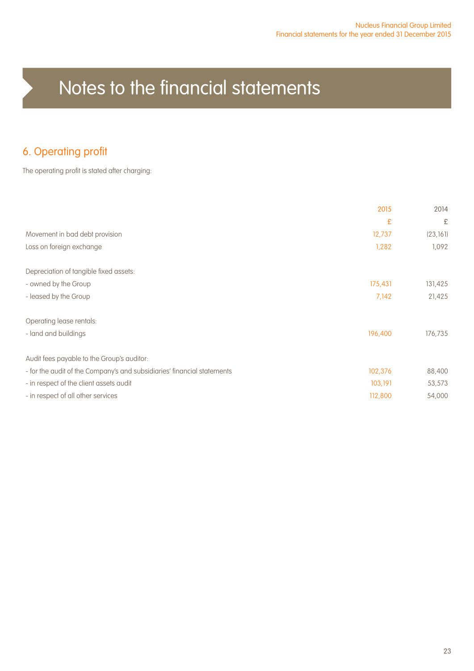### 6. Operating profit

The operating profit is stated after charging:

|                                                                         | 2015    | 2014      |
|-------------------------------------------------------------------------|---------|-----------|
|                                                                         | £       | £         |
| Movement in bad debt provision                                          | 12,737  | (23, 161) |
| Loss on foreign exchange                                                | 1,282   | 1,092     |
| Depreciation of tangible fixed assets:                                  |         |           |
| - owned by the Group                                                    | 175,431 | 131,425   |
| - leased by the Group                                                   | 7,142   | 21,425    |
| Operating lease rentals:                                                |         |           |
| - land and buildings                                                    | 196,400 | 176,735   |
| Audit fees payable to the Group's auditor:                              |         |           |
| - for the audit of the Company's and subsidiaries' financial statements | 102,376 | 88,400    |
| - in respect of the client assets audit                                 | 103,191 | 53,573    |
| - in respect of all other services                                      | 112,800 | 54,000    |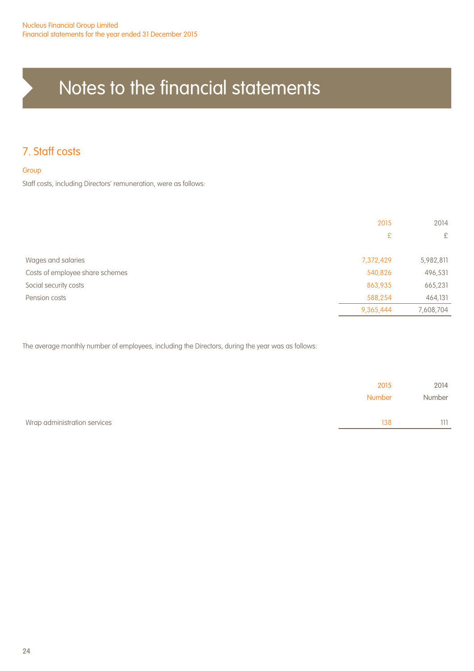## 7. Staff costs

#### Group

Staff costs, including Directors' remuneration, were as follows:

|                                 | 2015      | 2014      |
|---------------------------------|-----------|-----------|
|                                 | £         | £         |
|                                 |           |           |
| Wages and salaries              | 7,372,429 | 5,982,811 |
| Costs of employee share schemes | 540,826   | 496,531   |
| Social security costs           | 863,935   | 665,231   |
| Pension costs                   | 588,254   | 464,131   |
|                                 | 9,365,444 | 7,608,704 |

The average monthly number of employees, including the Directors, during the year was as follows:

|                              | 2015<br>Number | 2014<br>Number |
|------------------------------|----------------|----------------|
| Wrap administration services | 138            | 111            |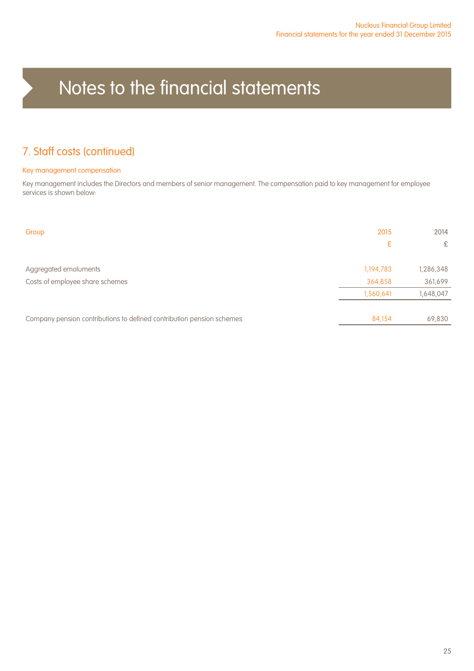### 7. Staff costs (continued)

#### Key management compensation

Key management includes the Directors and members of senior management. The compensation paid to key management for employee services is shown below:

| Group                                                                 | 2015      | 2014      |
|-----------------------------------------------------------------------|-----------|-----------|
|                                                                       | £         | £         |
| Aggregated emoluments                                                 | 1,194,783 | 1,286,348 |
| Costs of employee share schemes                                       | 364,858   | 361,699   |
|                                                                       | 1,560,641 | 1,648,047 |
|                                                                       |           |           |
| Company pension contributions to defined contribution pension schemes | 84.154    | 69,830    |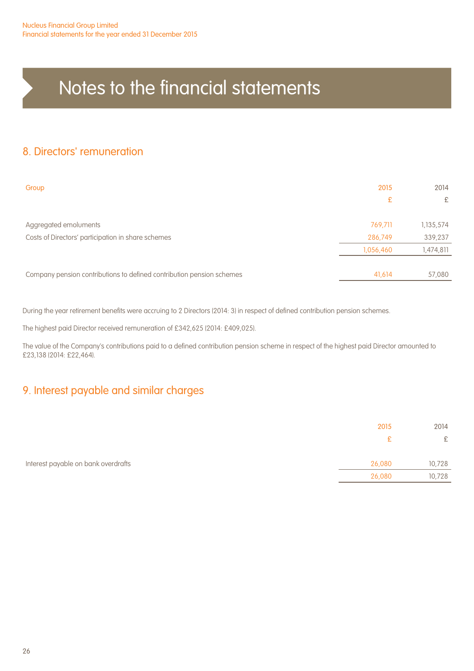### 8. Directors' remuneration

| Group                                                                 | 2015      | 2014      |
|-----------------------------------------------------------------------|-----------|-----------|
|                                                                       | £         | £         |
| Aggregated emoluments                                                 | 769,711   | 1,135,574 |
| Costs of Directors' participation in share schemes                    | 286,749   | 339,237   |
|                                                                       | 1,056,460 | 1,474,811 |
|                                                                       |           |           |
| Company pension contributions to defined contribution pension schemes | 41,614    | 57,080    |

During the year retirement benefits were accruing to 2 Directors (2014: 3) in respect of defined contribution pension schemes.

The highest paid Director received remuneration of £342,625 (2014: £409,025).

The value of the Company's contributions paid to a defined contribution pension scheme in respect of the highest paid Director amounted to £23,138 (2014: £22,464).

### 9. Interest payable and similar charges

|                                     | 2015   | 2014   |
|-------------------------------------|--------|--------|
|                                     | £.     | £      |
|                                     |        |        |
| Interest payable on bank overdrafts | 26,080 | 10,728 |
|                                     | 26,080 | 10,728 |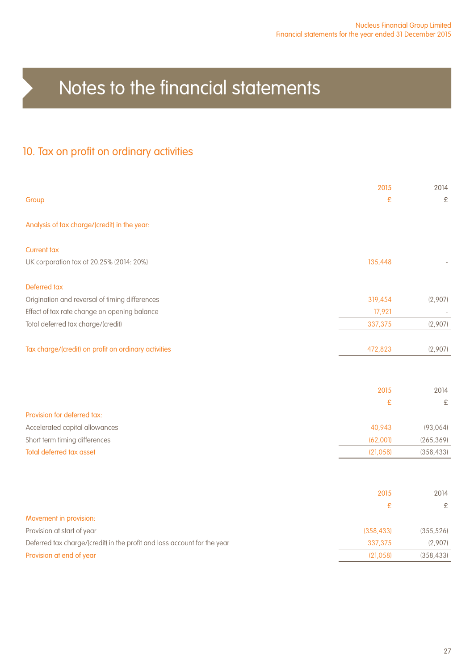## 10. Tax on profit on ordinary activities

|                                                                          | 2015       | 2014       |
|--------------------------------------------------------------------------|------------|------------|
| Group                                                                    | £          | £          |
| Analysis of tax charge/(credit) in the year:                             |            |            |
| <b>Current tax</b>                                                       |            |            |
| UK corporation tax at 20.25% (2014: 20%)                                 | 135,448    |            |
| Deferred tax                                                             |            |            |
| Origination and reversal of timing differences                           | 319,454    | (2,907)    |
| Effect of tax rate change on opening balance                             | 17,921     |            |
| Total deferred tax charge/(credit)                                       | 337,375    | (2,907)    |
|                                                                          |            |            |
| Tax charge/(credit) on profit on ordinary activities                     | 472,823    | (2,907)    |
|                                                                          |            |            |
|                                                                          | 2015       | 2014       |
|                                                                          | £          | £          |
| Provision for deferred tax:                                              |            |            |
| Accelerated capital allowances                                           | 40,943     | (93, 064)  |
| Short term timing differences                                            | (62,00]    | (265, 369) |
| <b>Total deferred tax asset</b>                                          | (21, 058)  | (358, 433) |
|                                                                          |            |            |
|                                                                          |            |            |
|                                                                          | 2015       | 2014       |
|                                                                          | £          | £          |
| Movement in provision:                                                   |            |            |
| Provision at start of year                                               | (358, 433) | (355, 526) |
| Deferred tax charge/(credit) in the profit and loss account for the year | 337,375    | (2,907)    |
| Provision at end of year                                                 | (21, 058)  | (358, 433) |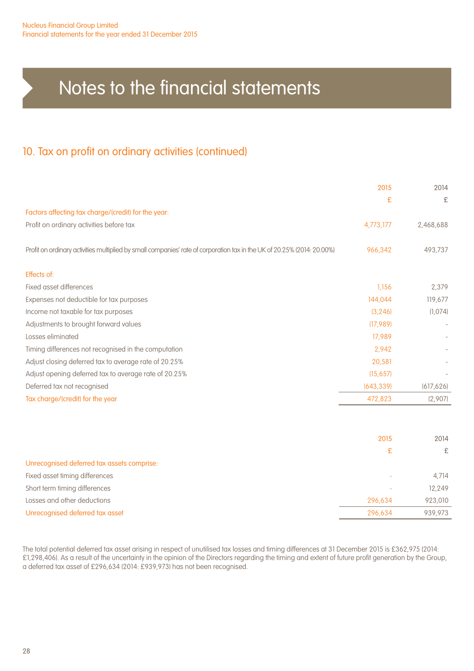### 10. Tax on profit on ordinary activities (continued)

|                                                                                                                         | 2015       | 2014       |
|-------------------------------------------------------------------------------------------------------------------------|------------|------------|
|                                                                                                                         | £          | £          |
| Factors affecting tax charge/(credit) for the year:                                                                     |            |            |
| Profit on ordinary activities before tax                                                                                | 4,773,177  | 2,468,688  |
| Profit on ordinary activities multiplied by small companies' rate of corporation tax in the UK of 20.25% (2014: 20.00%) | 966,342    | 493,737    |
| Effects of:                                                                                                             |            |            |
| Fixed asset differences                                                                                                 | 1,156      | 2,379      |
| Expenses not deductible for tax purposes                                                                                | 144,044    | 119,677    |
| Income not taxable for tax purposes                                                                                     | (3, 246)   | (1,074)    |
| Adjustments to brought forward values                                                                                   | (17, 989)  |            |
| Losses eliminated                                                                                                       | 17,989     |            |
| Timing differences not recognised in the computation                                                                    | 2,942      |            |
| Adjust closing deferred tax to average rate of 20.25%                                                                   | 20,581     |            |
| Adjust opening deferred tax to average rate of 20.25%                                                                   | (15, 657)  |            |
| Deferred tax not recognised                                                                                             | (643, 339) | (617, 626) |
| Tax charge/(credit) for the year                                                                                        | 472,823    | (2,907)    |
|                                                                                                                         |            |            |
|                                                                                                                         | 2015       | 2014       |
|                                                                                                                         | £          | £          |
| Unrecognised deferred tax assets comprise:                                                                              |            |            |
| Fixed asset timing differences                                                                                          |            | 4,714      |
| Short term timing differences                                                                                           |            | 12,249     |
| Losses and other deductions                                                                                             | 296.634    | 923,010    |

Unrecognised deferred tax asset 296,634 939,973

The total potential deferred tax asset arising in respect of unutilised tax losses and timing differences at 31 December 2015 is £362,975 (2014: £1,298,406). As a result of the uncertainty in the opinion of the Directors regarding the timing and extent of future profit generation by the Group, a deferred tax asset of £296,634 (2014: £939,973) has not been recognised.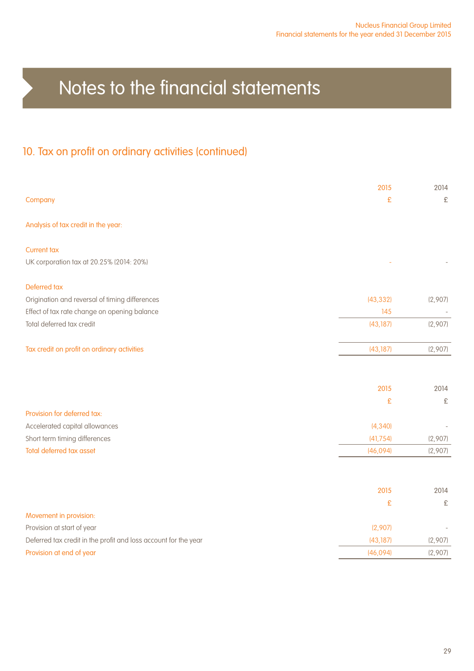## 10. Tax on profit on ordinary activities (continued)

|                                                                 | 2015      | 2014    |
|-----------------------------------------------------------------|-----------|---------|
| Company                                                         | £         | £       |
| Analysis of tax credit in the year:                             |           |         |
| <b>Current tax</b>                                              |           |         |
| UK corporation tax at 20.25% (2014: 20%)                        |           |         |
| Deferred tax                                                    |           |         |
| Origination and reversal of timing differences                  | (43, 332) | (2,907) |
| Effect of tax rate change on opening balance                    | 145       |         |
| Total deferred tax credit                                       | (43, 187) | (2,907) |
| Tax credit on profit on ordinary activities                     | (43, 187) | (2,907) |
|                                                                 | 2015      | 2014    |
|                                                                 | £         | £       |
| Provision for deferred tax:                                     |           |         |
| Accelerated capital allowances                                  | (4, 340)  |         |
| Short term timing differences                                   | (41, 754) | (2,907) |
| Total deferred tax asset                                        | (46,094)  | (2,907) |
|                                                                 |           |         |
|                                                                 | 2015      | 2014    |
|                                                                 | £         | £       |
| Movement in provision:                                          |           |         |
| Provision at start of year                                      | (2,907)   |         |
| Deferred tax credit in the profit and loss account for the year | (43, 187) | (2,907) |
| Provision at end of year                                        | (46,094)  | (2,907) |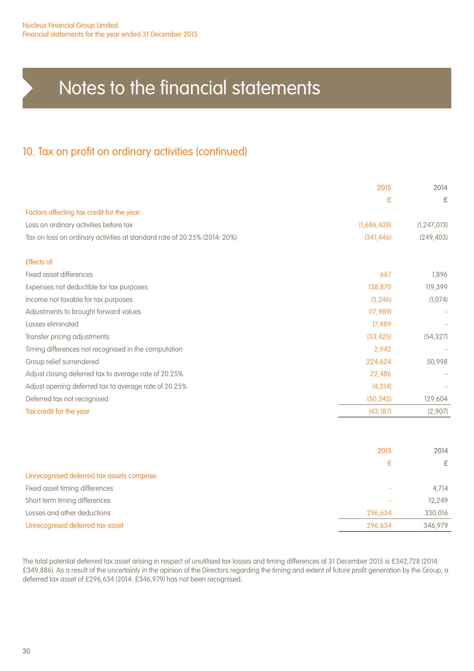### 10. Tax on profit on ordinary activities (continued)

|                                                                           | 2015        | 2014          |
|---------------------------------------------------------------------------|-------------|---------------|
|                                                                           | £           | £             |
| Factors affecting tax credit for the year:                                |             |               |
| Loss on ordinary activities before tax                                    | (1,686,438) | (1, 247, 013) |
| Tax on loss on ordinary activities at standard rate of 20.25% (2014: 20%) | (341, 446)  | (249, 403)    |
| Effects of:                                                               |             |               |
| Fixed asset differences                                                   | 667         | 1,896         |
| Expenses not deductible for tax purposes                                  | 138,870     | 119,399       |
| Income not taxable for tax purposes                                       | (3, 246)    | (1,074)       |
| Adjustments to brought forward values                                     | (17, 989)   |               |
| Losses eliminated                                                         | 17,989      |               |
| Transfer pricing adjustments                                              | (33, 425)   | (54, 327)     |
| Timing differences not recognised in the computation                      | 2,942       |               |
| Group relief surrendered                                                  | 224,624     | 50,998        |
| Adjust closing deferred tax to average rate of 20.25%                     | 22,486      |               |
| Adjust opening deferred tax to average rate of 20.25%                     | (4, 314)    |               |
| Deferred tax not recognised                                               | (50, 345)   | 129,604       |
| Tax credit for the year                                                   | (43, 187)   | (2,907)       |

|                                            | 2015    | 2014          |
|--------------------------------------------|---------|---------------|
|                                            | £       | $\mathcal{F}$ |
| Unrecognised deferred tax assets comprise: |         |               |
| Fixed asset timing differences             |         | 4.714         |
| Short term timing differences              |         | 12.249        |
| Losses and other deductions                | 296.634 | 330,016       |
| Unrecognised deferred tax asset            | 296,634 | 346,979       |
|                                            |         |               |

The total potential deferred tax asset arising in respect of unutilised tax losses and timing differences at 31 December 2015 is £342,728 (2014: £349,886). As a result of the uncertainty in the opinion of the Directors regarding the timing and extent of future profit generation by the Group, a deferred tax asset of £296,634 (2014: £346,979) has not been recognised.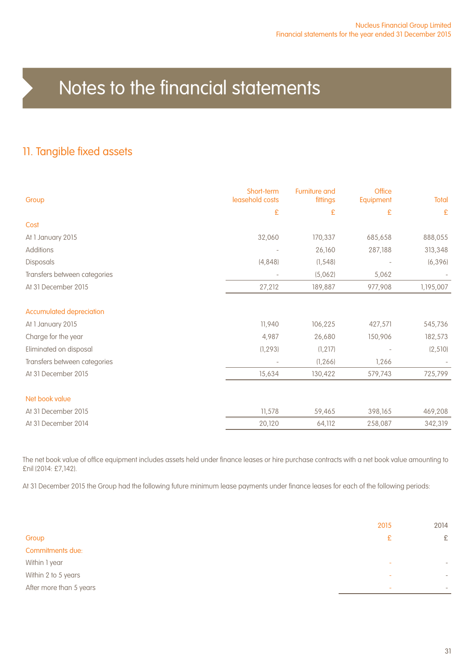### 11. Tangible fixed assets

| Group                           | Short-term<br>leasehold costs | Furniture and<br>fittings | <b>Office</b><br>Equipment | Total        |
|---------------------------------|-------------------------------|---------------------------|----------------------------|--------------|
|                                 | £                             | £                         | £                          | $\mathbf{E}$ |
| Cost                            |                               |                           |                            |              |
| At 1 January 2015               | 32,060                        | 170,337                   | 685,658                    | 888,055      |
| Additions                       |                               | 26,160                    | 287,188                    | 313,348      |
| Disposals                       | (4, 848)                      | (1, 548)                  |                            | (6, 396)     |
| Transfers between categories    |                               | (5,062)                   | 5,062                      |              |
| At 31 December 2015             | 27,212                        | 189,887                   | 977,908                    | 1,195,007    |
| <b>Accumulated depreciation</b> |                               |                           |                            |              |
| At 1 January 2015               | 11,940                        | 106,225                   | 427,571                    | 545,736      |
| Charge for the year             | 4,987                         | 26,680                    | 150,906                    | 182,573      |
| Eliminated on disposal          | (1, 293)                      | (1, 217)                  |                            | (2, 510)     |
| Transfers between categories    |                               | (1, 266)                  | 1,266                      |              |
| At 31 December 2015             | 15,634                        | 130,422                   | 579,743                    | 725,799      |
| Net book value                  |                               |                           |                            |              |
| At 31 December 2015             | 11,578                        | 59,465                    | 398,165                    | 469,208      |
| At 31 December 2014             | 20,120                        | 64,112                    | 258,087                    | 342,319      |

The net book value of office equipment includes assets held under finance leases or hire purchase contracts with a net book value amounting to £nil (2014: £7,142).

At 31 December 2015 the Group had the following future minimum lease payments under finance leases for each of the following periods:

|                         | 2015                     | 2014                     |
|-------------------------|--------------------------|--------------------------|
| Group                   | £                        | £                        |
| Commitments due:        |                          |                          |
| Within 1 year           | $\overline{\phantom{a}}$ | $\overline{\phantom{a}}$ |
| Within 2 to 5 years     | $\overline{\phantom{a}}$ | $\overline{\phantom{a}}$ |
| After more than 5 years | $\overline{\phantom{a}}$ | $\overline{\phantom{a}}$ |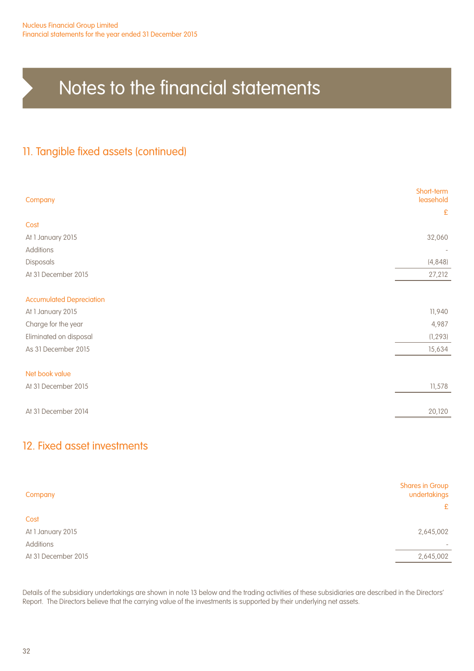### 11. Tangible fixed assets (continued)

| Company                         | Short-term<br>leasehold  |
|---------------------------------|--------------------------|
|                                 | $\pounds$                |
| Cost                            |                          |
| At 1 January 2015               | 32,060                   |
| Additions                       | $\overline{\phantom{a}}$ |
| Disposals                       | (4, 848)                 |
| At 31 December 2015             | 27,212                   |
|                                 |                          |
| <b>Accumulated Depreciation</b> |                          |
| At 1 January 2015               | 11,940                   |
| Charge for the year             | 4,987                    |
| Eliminated on disposal          | (1, 293)                 |
| As 31 December 2015             | 15,634                   |
|                                 |                          |
| Net book value                  |                          |
| At 31 December 2015             | 11,578                   |
|                                 |                          |
| At 31 December 2014             | 20,120                   |
|                                 |                          |

### 12. Fixed asset investments

| Company             | <b>Shares in Group</b><br>undertakings<br>£ |
|---------------------|---------------------------------------------|
| Cost                |                                             |
| At 1 January 2015   | 2,645,002                                   |
| Additions           |                                             |
| At 31 December 2015 | 2,645,002                                   |

Details of the subsidiary undertakings are shown in note 13 below and the trading activities of these subsidiaries are described in the Directors' Report. The Directors believe that the carrying value of the investments is supported by their underlying net assets.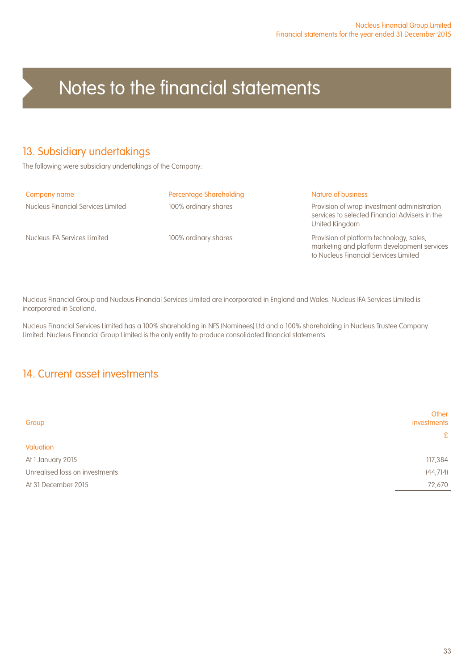### 13. Subsidiary undertakings

The following were subsidiary undertakings of the Company:

#### Company name **Percentage Shareholding** Nature of business **Nature of Shareholding** Nature of business

Nucleus Financial Services Limited 100% ordinary shares Provision of wrap investment administration

services to selected Financial Advisers in the United Kingdom

Nucleus IFA Services Limited 100% ordinary shares Provision of platform technology, sales, marketing and platform development services to Nucleus Financial Services Limited

Nucleus Financial Group and Nucleus Financial Services Limited are incorporated in England and Wales. Nucleus IFA Services Limited is incorporated in Scotland.

Nucleus Financial Services Limited has a 100% shareholding in NFS (Nominees) Ltd and a 100% shareholding in Nucleus Trustee Company Limited. Nucleus Financial Group Limited is the only entity to produce consolidated financial statements.

### 14. Current asset investments

| Group                          | Other<br>investments |
|--------------------------------|----------------------|
|                                | £                    |
| Valuation                      |                      |
| At 1 January 2015              | 117,384              |
| Unrealised loss on investments | (44, 714)            |
| At 31 December 2015            | 72,670               |
|                                |                      |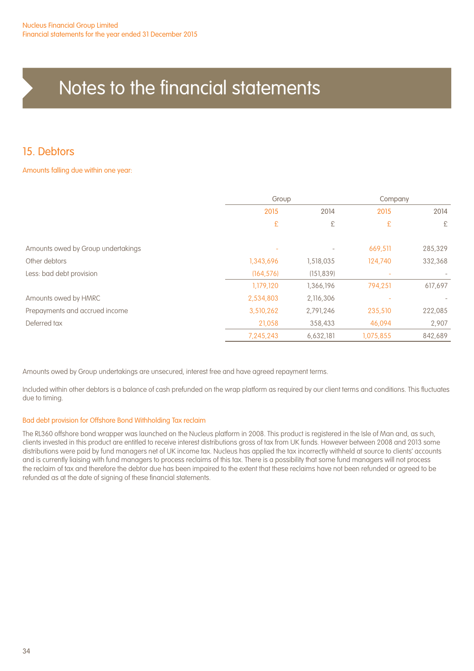### 15. Debtors

#### Amounts falling due within one year:

|                                    | Group      |                          | Company   |         |
|------------------------------------|------------|--------------------------|-----------|---------|
|                                    | 2015       | 2014                     | 2015      | 2014    |
|                                    | £          | £                        | £         | £       |
| Amounts owed by Group undertakings |            | $\overline{\phantom{a}}$ | 669,511   | 285,329 |
| Other debtors                      | 1,343,696  | 1,518,035                | 124,740   | 332,368 |
| Less: bad debt provision           | (164, 576) | (151, 839)               |           |         |
|                                    | 1,179,120  | 1,366,196                | 794,251   | 617,697 |
| Amounts owed by HMRC               | 2,534,803  | 2,116,306                |           |         |
| Prepayments and accrued income     | 3,510,262  | 2,791,246                | 235,510   | 222,085 |
| Deferred tax                       | 21,058     | 358,433                  | 46,094    | 2,907   |
|                                    | 7,245,243  | 6,632,181                | 1,075,855 | 842,689 |

Amounts owed by Group undertakings are unsecured, interest free and have agreed repayment terms.

Included within other debtors is a balance of cash prefunded on the wrap platform as required by our client terms and conditions. This fluctuates due to timing.

#### Bad debt provision for Offshore Bond Withholding Tax reclaim

The RL360 offshore bond wrapper was launched on the Nucleus platform in 2008. This product is registered in the Isle of Man and, as such, clients invested in this product are entitled to receive interest distributions gross of tax from UK funds. However between 2008 and 2013 some distributions were paid by fund managers net of UK income tax. Nucleus has applied the tax incorrectly withheld at source to clients' accounts and is currently liaising with fund managers to process reclaims of this tax. There is a possibility that some fund managers will not process the reclaim of tax and therefore the debtor due has been impaired to the extent that these reclaims have not been refunded or agreed to be refunded as at the date of signing of these financial statements.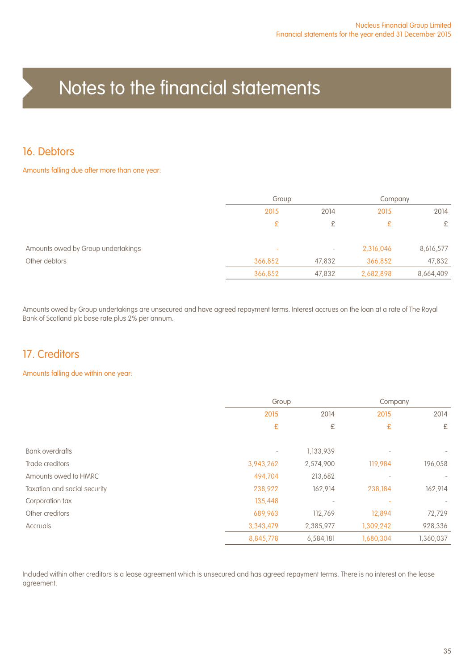### 16. Debtors

#### Amounts falling due after more than one year:

|                                    |                          | Group                    |           | Company   |
|------------------------------------|--------------------------|--------------------------|-----------|-----------|
|                                    | 2015                     | 2014                     | 2015      | 2014      |
|                                    | £                        | £                        | £         | £         |
| Amounts owed by Group undertakings | $\overline{\phantom{a}}$ | $\overline{\phantom{a}}$ | 2,316,046 | 8,616,577 |
| Other debtors                      | 366,852                  | 47,832                   | 366,852   | 47,832    |
|                                    | 366,852                  | 47,832                   | 2,682,898 | 8,664,409 |

Amounts owed by Group undertakings are unsecured and have agreed repayment terms. Interest accrues on the loan at a rate of The Royal Bank of Scotland plc base rate plus 2% per annum.

### 17. Creditors

#### Amounts falling due within one year:

|                              | Group     |           | Company   |           |
|------------------------------|-----------|-----------|-----------|-----------|
|                              | 2015      | 2014      | 2015      | 2014      |
|                              | £         | £         | £         | £         |
| <b>Bank overdrafts</b>       |           | 1,133,939 |           |           |
| Trade creditors              | 3,943,262 | 2,574,900 | 119,984   | 196,058   |
| Amounts owed to HMRC         | 494,704   | 213,682   |           |           |
| Taxation and social security | 238,922   | 162,914   | 238,184   | 162,914   |
| Corporation tax              | 135,448   |           |           |           |
| Other creditors              | 689,963   | 112,769   | 12,894    | 72,729    |
| Accruals                     | 3,343,479 | 2,385,977 | 1,309,242 | 928,336   |
|                              | 8,845,778 | 6,584,181 | 1,680,304 | 1,360,037 |

Included within other creditors is a lease agreement which is unsecured and has agreed repayment terms. There is no interest on the lease agreement.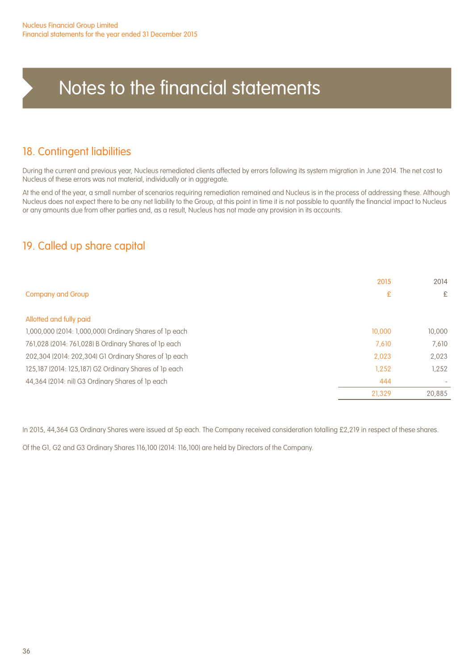### 18. Contingent liabilities

During the current and previous year, Nucleus remediated clients affected by errors following its system migration in June 2014. The net cost to Nucleus of these errors was not material, individually or in aggregate.

At the end of the year, a small number of scenarios requiring remediation remained and Nucleus is in the process of addressing these. Although Nucleus does not expect there to be any net liability to the Group, at this point in time it is not possible to quantify the financial impact to Nucleus or any amounts due from other parties and, as a result, Nucleus has not made any provision in its accounts.

### 19. Called up share capital

|                                                        | 2015   | 2014   |
|--------------------------------------------------------|--------|--------|
| <b>Company and Group</b>                               | £      | £      |
| Allotted and fully paid                                |        |        |
| 1,000,000 (2014: 1,000,000) Ordinary Shares of 1p each | 10,000 | 10,000 |
| 761,028 (2014: 761,028) B Ordinary Shares of 1p each   | 7,610  | 7,610  |
| 202,304 (2014: 202,304) G1 Ordinary Shares of 1p each  | 2,023  | 2,023  |
| 125,187 (2014: 125,187) G2 Ordinary Shares of 1p each  | 1.252  | 1,252  |
| 44,364 (2014: nil) G3 Ordinary Shares of Ip each       | 444    |        |
|                                                        | 21,329 | 20.885 |

In 2015, 44,364 G3 Ordinary Shares were issued at 5p each. The Company received consideration totalling £2,219 in respect of these shares.

Of the G1, G2 and G3 Ordinary Shares 116,100 (2014: 116,100) are held by Directors of the Company.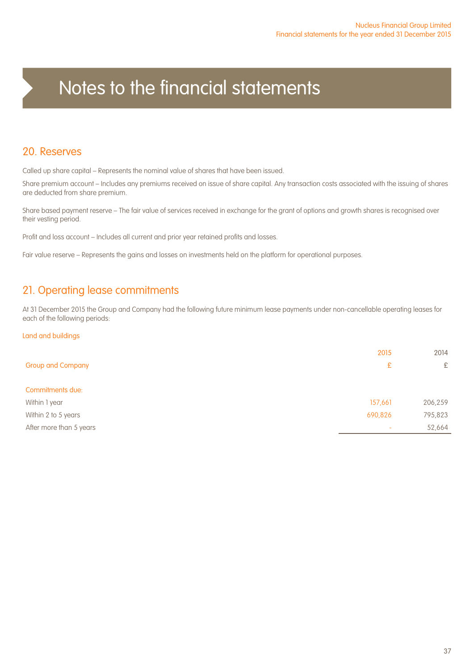### 20. Reserves

Called up share capital – Represents the nominal value of shares that have been issued.

Share premium account – Includes any premiums received on issue of share capital. Any transaction costs associated with the issuing of shares are deducted from share premium.

Share based payment reserve – The fair value of services received in exchange for the grant of options and growth shares is recognised over their vesting period.

Profit and loss account – Includes all current and prior year retained profits and losses.

Fair value reserve – Represents the gains and losses on investments held on the platform for operational purposes.

### 21. Operating lease commitments

At 31 December 2015 the Group and Company had the following future minimum lease payments under non-cancellable operating leases for each of the following periods:

#### Land and buildings

|                          | 2015                     | 2014    |
|--------------------------|--------------------------|---------|
| <b>Group and Company</b> | £                        | £       |
| Commitments due:         |                          |         |
| Within 1 year            | 157,661                  | 206,259 |
| Within 2 to 5 years      | 690,826                  | 795,823 |
| After more than 5 years  | $\overline{\phantom{a}}$ | 52,664  |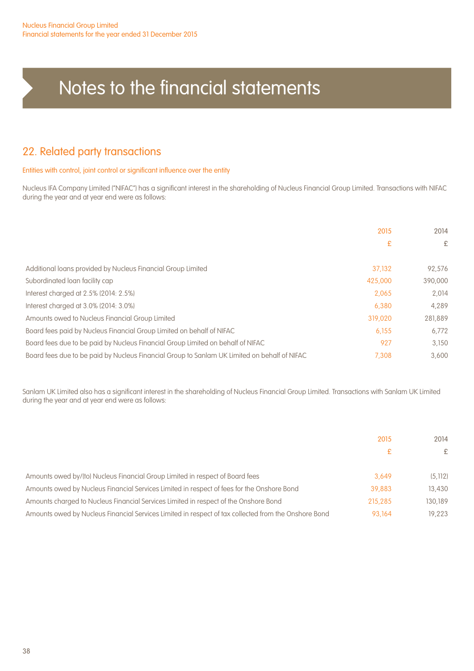### 22. Related party transactions

#### Entities with control, joint control or significant influence over the entity

Nucleus IFA Company Limited ("NIFAC") has a significant interest in the shareholding of Nucleus Financial Group Limited. Transactions with NIFAC during the year and at year end were as follows:

|                                                                                              | 2015    | 2014    |
|----------------------------------------------------------------------------------------------|---------|---------|
|                                                                                              |         |         |
|                                                                                              | £       | £       |
| Additional loans provided by Nucleus Financial Group Limited                                 | 37.132  | 92.576  |
|                                                                                              |         |         |
| Subordinated loan facility cap                                                               | 425,000 | 390,000 |
| Interest charged at 2.5% (2014: 2.5%)                                                        | 2.065   | 2.014   |
| Interest charged at 3.0% (2014: 3.0%)                                                        | 6.380   | 4.289   |
| Amounts owed to Nucleus Financial Group Limited                                              | 319,020 | 281.889 |
| Board fees paid by Nucleus Financial Group Limited on behalf of NIFAC                        | 6,155   | 6.772   |
| Board fees due to be paid by Nucleus Financial Group Limited on behalf of NIFAC              | 927     | 3.150   |
| Board fees due to be paid by Nucleus Financial Group to Sanlam UK Limited on behalf of NIFAC | 7.308   | 3.600   |

Sanlam UK Limited also has a significant interest in the shareholding of Nucleus Financial Group Limited. Transactions with Sanlam UK Limited during the year and at year end were as follows:

|                                                                                                      | 2015    | 2014    |
|------------------------------------------------------------------------------------------------------|---------|---------|
|                                                                                                      | £       | £       |
| Amounts owed by/(to) Nucleus Financial Group Limited in respect of Board fees                        | 3.649   | (5.112) |
| Amounts owed by Nucleus Financial Services Limited in respect of fees for the Onshore Bond           | 39.883  | 13,430  |
| Amounts charged to Nucleus Financial Services Limited in respect of the Onshore Bond                 | 215,285 | 130.189 |
| Amounts owed by Nucleus Financial Services Limited in respect of tax collected from the Onshore Bond | 93.164  | 19.223  |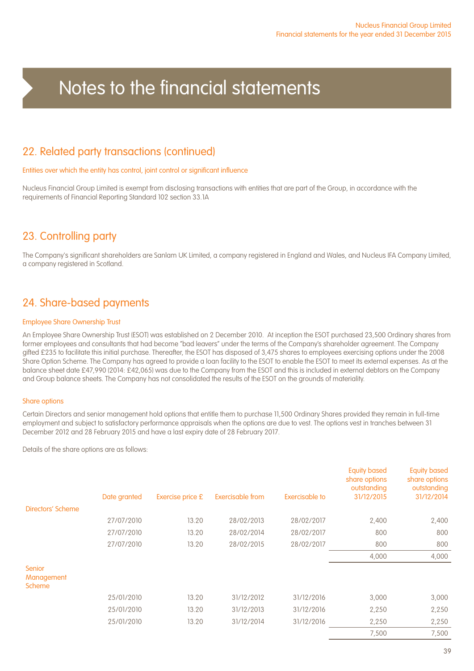### 22. Related party transactions (continued)

#### Entities over which the entity has control, joint control or significant influence

Nucleus Financial Group Limited is exempt from disclosing transactions with entities that are part of the Group, in accordance with the requirements of Financial Reporting Standard 102 section 33.1A

### 23. Controlling party

The Company's significant shareholders are Sanlam UK Limited, a company registered in England and Wales, and Nucleus IFA Company Limited, a company registered in Scotland.

### 24. Share-based payments

#### Employee Share Ownership Trust

An Employee Share Ownership Trust (ESOT) was established on 2 December 2010. At inception the ESOT purchased 23,500 Ordinary shares from former employees and consultants that had become "bad leavers" under the terms of the Company's shareholder agreement. The Company gifted £235 to facilitate this initial purchase. Thereafter, the ESOT has disposed of 3,475 shares to employees exercising options under the 2008 Share Option Scheme. The Company has agreed to provide a loan facility to the ESOT to enable the ESOT to meet its external expenses. As at the balance sheet date £47,990 (2014: £42,065) was due to the Company from the ESOT and this is included in external debtors on the Company and Group balance sheets. The Company has not consolidated the results of the ESOT on the grounds of materiality.

#### Share options

Certain Directors and senior management hold options that entitle them to purchase 11,500 Ordinary Shares provided they remain in full-time employment and subject to satisfactory performance appraisals when the options are due to vest. The options vest in tranches between 31 December 2012 and 28 February 2015 and have a last expiry date of 28 February 2017.

Details of the share options are as follows:

|                                       | Date granted | Exercise price £ | Exercisable from | Exercisable to | <b>Equity based</b><br>share options<br>outstanding<br>31/12/2015 | <b>Equity based</b><br>share options<br>outstanding<br>31/12/2014 |
|---------------------------------------|--------------|------------------|------------------|----------------|-------------------------------------------------------------------|-------------------------------------------------------------------|
| Directors' Scheme                     |              |                  |                  |                |                                                                   |                                                                   |
|                                       | 27/07/2010   | 13.20            | 28/02/2013       | 28/02/2017     | 2,400                                                             | 2,400                                                             |
|                                       | 27/07/2010   | 13.20            | 28/02/2014       | 28/02/2017     | 800                                                               | 800                                                               |
|                                       | 27/07/2010   | 13.20            | 28/02/2015       | 28/02/2017     | 800                                                               | 800                                                               |
|                                       |              |                  |                  |                | 4,000                                                             | 4,000                                                             |
| Senior<br>Management<br><b>Scheme</b> |              |                  |                  |                |                                                                   |                                                                   |
|                                       | 25/01/2010   | 13.20            | 31/12/2012       | 31/12/2016     | 3,000                                                             | 3,000                                                             |
|                                       | 25/01/2010   | 13.20            | 31/12/2013       | 31/12/2016     | 2,250                                                             | 2,250                                                             |
|                                       | 25/01/2010   | 13.20            | 31/12/2014       | 31/12/2016     | 2,250                                                             | 2,250                                                             |
|                                       |              |                  |                  |                | 7.500                                                             | 7.500                                                             |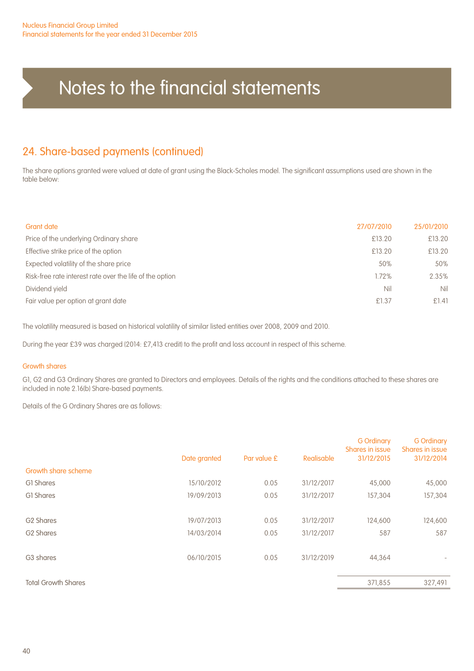### 24. Share-based payments (continued)

The share options granted were valued at date of grant using the Black-Scholes model. The significant assumptions used are shown in the table below:

| <b>Grant date</b>                                        | 27/07/2010 | 25/01/2010 |
|----------------------------------------------------------|------------|------------|
| Price of the underlying Ordinary share                   | £13.20     | £13.20     |
| Effective strike price of the option                     | £13.20     | £13.20     |
| Expected volatility of the share price                   | 50%        | 50%        |
| Risk-free rate interest rate over the life of the option | 1.72%      | 2.35%      |
| Dividend yield                                           | Nil        | Nil        |
| Fair value per option at grant date                      | £1.37      | £1.41      |

The volatility measured is based on historical volatility of similar listed entities over 2008, 2009 and 2010.

During the year £39 was charged (2014: £7,413 credit) to the profit and loss account in respect of this scheme.

#### Growth shares

G1, G2 and G3 Ordinary Shares are granted to Directors and employees. Details of the rights and the conditions attached to these shares are included in note 2.16(b) Share-based payments.

Details of the G Ordinary Shares are as follows:

|                            | Date granted | Par value £ | Realisable | <b>G</b> Ordinary<br>Shares in issue<br>31/12/2015 | <b>G</b> Ordinary<br>Shares in issue<br>31/12/2014 |
|----------------------------|--------------|-------------|------------|----------------------------------------------------|----------------------------------------------------|
| Growth share scheme        |              |             |            |                                                    |                                                    |
| GI Shares                  | 15/10/2012   | 0.05        | 31/12/2017 | 45,000                                             | 45,000                                             |
| GI Shares                  | 19/09/2013   | 0.05        | 31/12/2017 | 157,304                                            | 157,304                                            |
|                            |              |             |            |                                                    |                                                    |
| G <sub>2</sub> Shares      | 19/07/2013   | 0.05        | 31/12/2017 | 124,600                                            | 124,600                                            |
| G <sub>2</sub> Shares      | 14/03/2014   | 0.05        | 31/12/2017 | 587                                                | 587                                                |
|                            |              |             |            |                                                    |                                                    |
| G <sub>3</sub> shares      | 06/10/2015   | 0.05        | 31/12/2019 | 44,364                                             |                                                    |
|                            |              |             |            |                                                    |                                                    |
| <b>Total Growth Shares</b> |              |             |            | 371,855                                            | 327,491                                            |
|                            |              |             |            |                                                    |                                                    |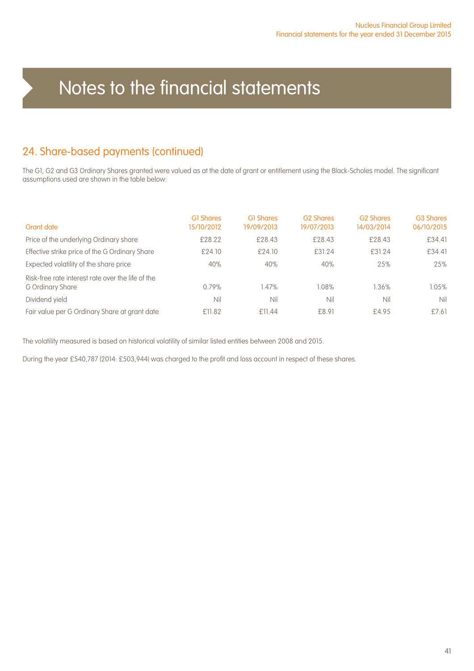### 24. Share-based payments (continued)

The G1, G2 and G3 Ordinary Shares granted were valued as at the date of grant or entitlement using the Black-Scholes model. The significant assumptions used are shown in the table below:

| Grant date                                                            | <b>G1 Shares</b><br>15/10/2012 | <b>GI Shares</b><br>19/09/2013 | <b>G2 Shares</b><br>19/07/2013 | <b>G2 Shares</b><br>14/03/2014 | <b>G3 Shares</b><br>06/10/2015 |
|-----------------------------------------------------------------------|--------------------------------|--------------------------------|--------------------------------|--------------------------------|--------------------------------|
| Price of the underlying Ordinary share                                | £28.22                         | £28.43                         | £28.43                         | £28.43                         | £34.41                         |
| Effective strike price of the G Ordinary Share                        | £24.10                         | £24.10                         | £31.24                         | £31.24                         | £34.41                         |
| Expected volatility of the share price                                | 40%                            | 40%                            | 40%                            | 25%                            | 25%                            |
| Risk-free rate interest rate over the life of the<br>G Ordinary Share | 0.79%                          | 1.47%                          | 1.08%                          | 1.36%                          | 1.05%                          |
| Dividend yield                                                        | Nil                            | Nil                            | Nil                            | Nil                            | Nil                            |
| Fair value per G Ordinary Share at grant date                         | £11.82                         | £11.44                         | £8.91                          | £4.95                          | £7.61                          |

The volatility measured is based on historical volatility of similar listed entities between 2008 and 2015.

During the year £540,787 (2014: £503,944) was charged to the profit and loss account in respect of these shares.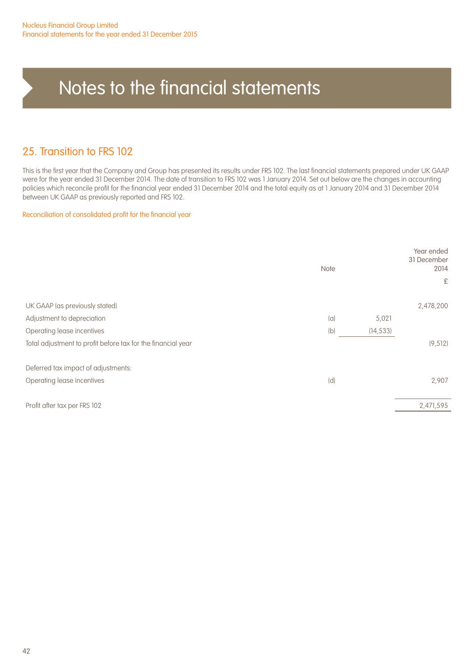### 25. Transition to FRS 102

This is the first year that the Company and Group has presented its results under FRS 102. The last financial statements prepared under UK GAAP were for the year ended 31 December 2014. The date of transition to FRS 102 was 1 January 2014. Set out below are the changes in accounting policies which reconcile profit for the financial year ended 31 December 2014 and the total equity as at 1 January 2014 and 31 December 2014 between UK GAAP as previously reported and FRS 102.

#### Reconciliation of consolidated profit for the financial year

| <b>Note</b>                                                  |     |           | Year ended<br>31 December<br>2014<br>£ |
|--------------------------------------------------------------|-----|-----------|----------------------------------------|
| UK GAAP (as previously stated)                               |     |           | 2,478,200                              |
| Adjustment to depreciation                                   | (a) | 5,021     |                                        |
| Operating lease incentives                                   | (b) | (14, 533) |                                        |
| Total adjustment to profit before tax for the financial year |     |           | (9, 512)                               |
| Deferred tax impact of adjustments:                          |     |           |                                        |
| Operating lease incentives                                   | (d) |           | 2,907                                  |
|                                                              |     |           |                                        |
| Profit after tax per FRS 102                                 |     |           | 2,471,595                              |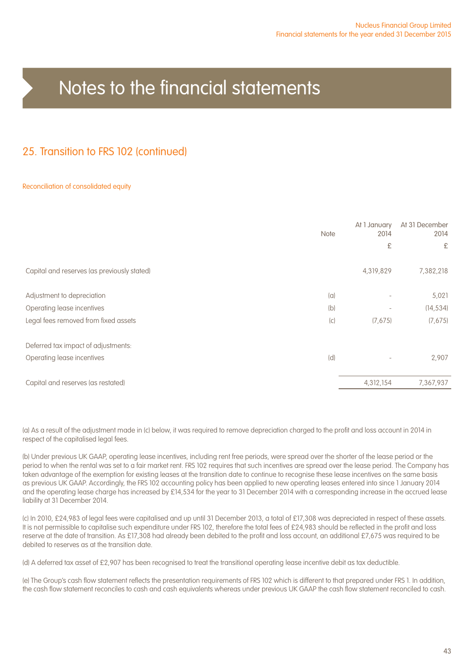### 25. Transition to FRS 102 (continued)

#### Reconciliation of consolidated equity

|                                             | <b>Note</b> | At 1 January<br>2014     | At 31 December<br>2014 |
|---------------------------------------------|-------------|--------------------------|------------------------|
|                                             |             | £                        | £                      |
| Capital and reserves (as previously stated) |             | 4,319,829                | 7,382,218              |
| Adjustment to depreciation                  | (a)         |                          | 5,021                  |
| Operating lease incentives                  | (b)         | $\overline{\phantom{a}}$ | (14, 534)              |
| Legal fees removed from fixed assets        | (c)         | (7,675)                  | (7,675)                |
| Deferred tax impact of adjustments:         |             |                          |                        |
| Operating lease incentives                  | (d)         |                          | 2,907                  |
| Capital and reserves (as restated)          |             | 4,312,154                | 7,367,937              |

(a) As a result of the adjustment made in (c) below, it was required to remove depreciation charged to the profit and loss account in 2014 in respect of the capitalised legal fees.

(b) Under previous UK GAAP, operating lease incentives, including rent free periods, were spread over the shorter of the lease period or the period to when the rental was set to a fair market rent. FRS 102 requires that such incentives are spread over the lease period. The Company has taken advantage of the exemption for existing leases at the transition date to continue to recognise these lease incentives on the same basis as previous UK GAAP. Accordingly, the FRS 102 accounting policy has been applied to new operating leases entered into since 1 January 2014 and the operating lease charge has increased by £14,534 for the year to 31 December 2014 with a corresponding increase in the accrued lease liability at 31 December 2014.

(c) In 2010, £24,983 of legal fees were capitalised and up until 31 December 2013, a total of £17,308 was depreciated in respect of these assets. It is not permissible to capitalise such expenditure under FRS 102, therefore the total fees of £24,983 should be reflected in the profit and loss reserve at the date of transition. As £17,308 had already been debited to the profit and loss account, an additional £7,675 was required to be debited to reserves as at the transition date.

(d) A deferred tax asset of £2,907 has been recognised to treat the transitional operating lease incentive debit as tax deductible.

(e) The Group's cash flow statement reflects the presentation requirements of FRS 102 which is different to that prepared under FRS 1. In addition, the cash flow statement reconciles to cash and cash equivalents whereas under previous UK GAAP the cash flow statement reconciled to cash.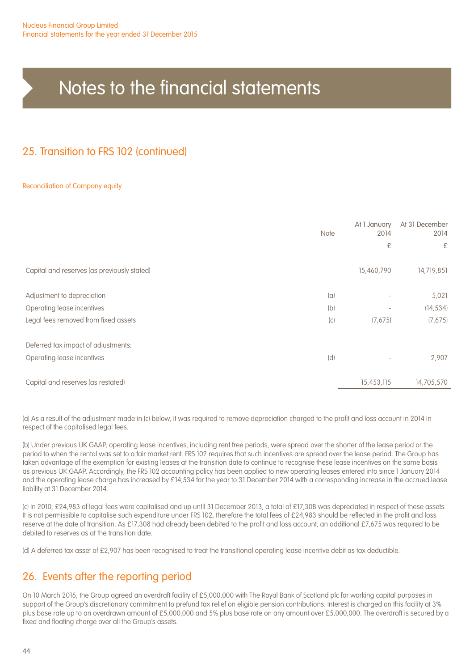### 25. Transition to FRS 102 (continued)

#### Reconciliation of Company equity

|                                             | <b>Note</b> | At 1 January<br>2014 | At 31 December<br>2014 |
|---------------------------------------------|-------------|----------------------|------------------------|
|                                             |             | £                    | £                      |
| Capital and reserves (as previously stated) |             | 15,460,790           | 14,719,851             |
| Adjustment to depreciation                  | (a)         | ٠                    | 5,021                  |
| Operating lease incentives                  | (b)         |                      | (14, 534)              |
| Legal fees removed from fixed assets        | (c)         | (7,675)              | (7,675)                |
| Deferred tax impact of adjustments:         |             |                      |                        |
| Operating lease incentives                  | (d)         |                      | 2,907                  |
| Capital and reserves (as restated)          |             | 15,453,115           | 14,705,570             |

(a) As a result of the adjustment made in (c) below, it was required to remove depreciation charged to the profit and loss account in 2014 in respect of the capitalised legal fees.

(b) Under previous UK GAAP, operating lease incentives, including rent free periods, were spread over the shorter of the lease period or the period to when the rental was set to a fair market rent. FRS 102 requires that such incentives are spread over the lease period. The Group has taken advantage of the exemption for existing leases at the transition date to continue to recognise these lease incentives on the same basis as previous UK GAAP. Accordingly, the FRS 102 accounting policy has been applied to new operating leases entered into since 1 January 2014 and the operating lease charge has increased by £14,534 for the year to 31 December 2014 with a corresponding increase in the accrued lease liability at 31 December 2014.

(c) In 2010, £24,983 of legal fees were capitalised and up until 31 December 2013, a total of £17,308 was depreciated in respect of these assets. It is not permissible to capitalise such expenditure under FRS 102, therefore the total fees of £24,983 should be reflected in the profit and loss reserve at the date of transition. As £17,308 had already been debited to the profit and loss account, an additional £7,675 was required to be debited to reserves as at the transition date.

(d) A deferred tax asset of £2,907 has been recognised to treat the transitional operating lease incentive debit as tax deductible.

### 26. Events after the reporting period

On 10 March 2016, the Group agreed an overdraft facility of £5,000,000 with The Royal Bank of Scotland plc for working capital purposes in support of the Group's discretionary commitment to prefund tax relief on eligible pension contributions. Interest is charged on this facility at 3% plus base rate up to an overdrawn amount of £5,000,000 and 5% plus base rate on any amount over £5,000,000. The overdraft is secured by a fixed and floating charge over all the Group's assets.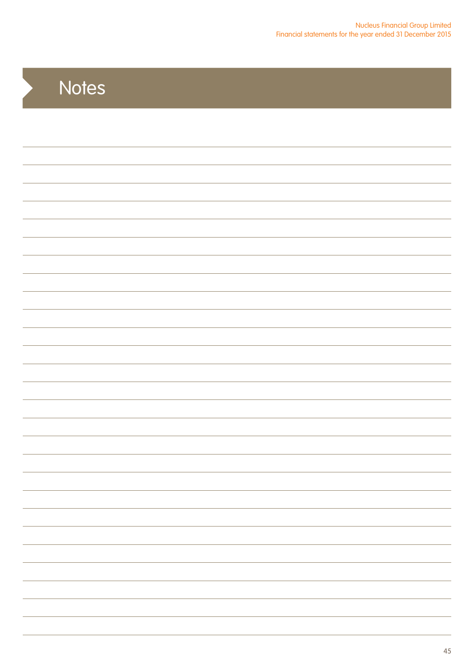# **Notes**

 $\blacktriangleright$ 

| $\overline{\phantom{a}}$ |
|--------------------------|
|                          |
|                          |
| $\overline{\phantom{a}}$ |
|                          |
| $\overline{\phantom{0}}$ |
|                          |
|                          |
|                          |
|                          |
|                          |
|                          |
|                          |
|                          |
|                          |
|                          |
|                          |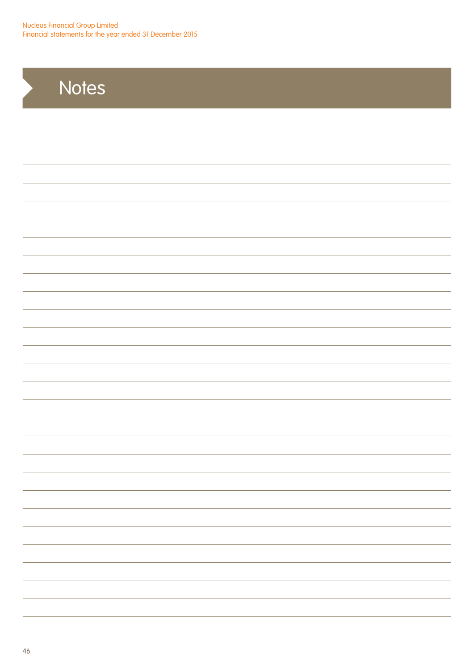Nucleus Financial Group Limited Financial statements for the year ended 31 December 2015

# **Notes**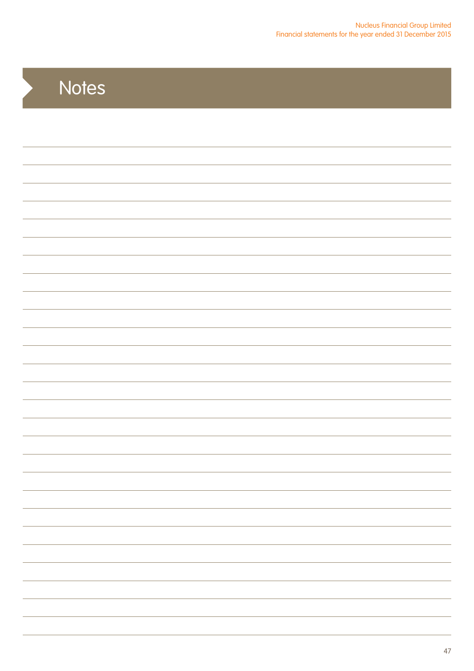# **Notes**

 $\blacktriangleright$ 

| $\overline{\phantom{a}}$ |
|--------------------------|
|                          |
|                          |
|                          |
|                          |
|                          |
|                          |
|                          |
|                          |
|                          |
|                          |